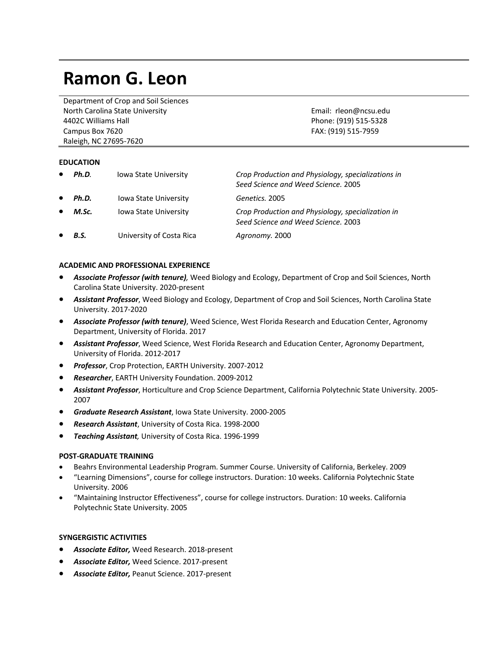# **Ramon G. Leon**

Department of Crop and Soil Sciences North Carolina State University 4402C Williams Hall Campus Box 7620 Raleigh, NC 27695-7620

Email: rleon@ncsu.edu Phone: (919) 515-5328 FAX: (919) 515-7959

#### **EDUCATION**

| $\bullet$ | Ph.D.       | <b>Iowa State University</b> | Crop Production and Physiology, specializations in<br>Seed Science and Weed Science, 2005 |
|-----------|-------------|------------------------------|-------------------------------------------------------------------------------------------|
| $\bullet$ | Ph.D.       | <b>Iowa State University</b> | Genetics, 2005                                                                            |
| $\bullet$ | M.Sc.       | <b>Iowa State University</b> | Crop Production and Physiology, specialization in<br>Seed Science and Weed Science, 2003  |
| $\bullet$ | <b>B.S.</b> | University of Costa Rica     | Agronomy. 2000                                                                            |

#### **ACADEMIC AND PROFESSIONAL EXPERIENCE**

- *Associate Professor (with tenure),* Weed Biology and Ecology, Department of Crop and Soil Sciences, North Carolina State University. 2020-present
- *Assistant Professor*, Weed Biology and Ecology, Department of Crop and Soil Sciences, North Carolina State University. 2017-2020
- *Associate Professor (with tenure)*, Weed Science, West Florida Research and Education Center, Agronomy Department, University of Florida. 2017
- *Assistant Professor*, Weed Science, West Florida Research and Education Center, Agronomy Department, University of Florida. 2012-2017
- *Professor*, Crop Protection, EARTH University. 2007-2012
- *Researcher*, EARTH University Foundation. 2009-2012
- *Assistant Professor*, Horticulture and Crop Science Department, California Polytechnic State University. 2005- 2007
- *Graduate Research Assistant*, Iowa State University. 2000-2005
- *Research Assistant*, University of Costa Rica. 1998-2000
- *Teaching Assistant,* University of Costa Rica. 1996-1999

## **POST-GRADUATE TRAINING**

- Beahrs Environmental Leadership Program. Summer Course. University of California, Berkeley. 2009
- "Learning Dimensions", course for college instructors. Duration: 10 weeks. California Polytechnic State University. 2006
- "Maintaining Instructor Effectiveness", course for college instructors. Duration: 10 weeks. California Polytechnic State University. 2005

#### **SYNGERGISTIC ACTIVITIES**

- *Associate Editor,* Weed Research. 2018-present
- *Associate Editor,* Weed Science. 2017-present
- *Associate Editor,* Peanut Science. 2017-present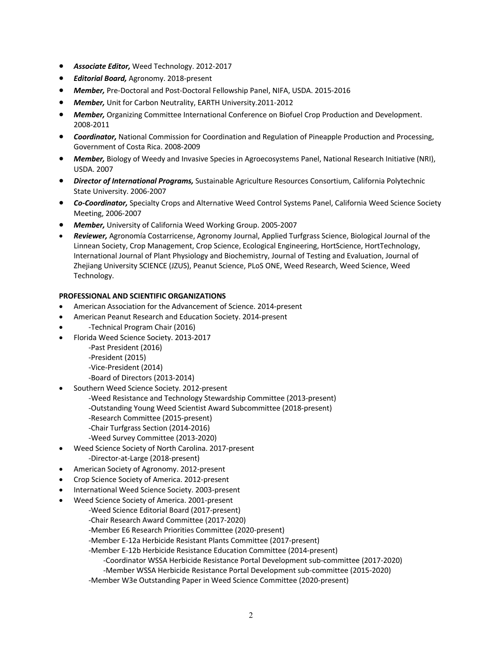- *Associate Editor,* Weed Technology. 2012-2017
- *Editorial Board,* Agronomy. 2018-present
- *Member,* Pre-Doctoral and Post-Doctoral Fellowship Panel, NIFA, USDA. 2015-2016
- *Member,* Unit for Carbon Neutrality, EARTH University.2011-2012
- *Member,* Organizing Committee International Conference on Biofuel Crop Production and Development. 2008-2011
- *Coordinator,* National Commission for Coordination and Regulation of Pineapple Production and Processing, Government of Costa Rica. 2008-2009
- *Member,* Biology of Weedy and Invasive Species in Agroecosystems Panel, National Research Initiative (NRI), USDA. 2007
- *Director of International Programs,* Sustainable Agriculture Resources Consortium, California Polytechnic State University. 2006-2007
- *Co-Coordinator,* Specialty Crops and Alternative Weed Control Systems Panel, California Weed Science Society Meeting, 2006-2007
- *Member,* University of California Weed Working Group. 2005-2007
- *Reviewer,* Agronomía Costarricense, Agronomy Journal, Applied Turfgrass Science, Biological Journal of the Linnean Society, Crop Management, Crop Science, Ecological Engineering, HortScience, HortTechnology, International Journal of Plant Physiology and Biochemistry, Journal of Testing and Evaluation, Journal of Zhejiang University SCIENCE (JZUS), Peanut Science, PLoS ONE, Weed Research, Weed Science, Weed Technology.

## **PROFESSIONAL AND SCIENTIFIC ORGANIZATIONS**

- American Association for the Advancement of Science. 2014-present
- American Peanut Research and Education Society. 2014-present
- -Technical Program Chair (2016)
- Florida Weed Science Society. 2013-2017

-Past President (2016) -President (2015)

-Vice-President (2014) -Board of Directors (2013-2014)

- Southern Weed Science Society. 2012-present -Weed Resistance and Technology Stewardship Committee (2013-present) -Outstanding Young Weed Scientist Award Subcommittee (2018-present) -Research Committee (2015-present) -Chair Turfgrass Section (2014-2016) -Weed Survey Committee (2013-2020)
- Weed Science Society of North Carolina. 2017-present -Director-at-Large (2018-present)
- American Society of Agronomy. 2012-present
- Crop Science Society of America. 2012-present
- International Weed Science Society. 2003-present
- Weed Science Society of America. 2001-present
	- -Weed Science Editorial Board (2017-present)
		- -Chair Research Award Committee (2017-2020)
		- -Member E6 Research Priorities Committee (2020-present)
		- -Member E-12a Herbicide Resistant Plants Committee (2017-present)
		- -Member E-12b Herbicide Resistance Education Committee (2014-present)
			- -Coordinator WSSA Herbicide Resistance Portal Development sub-committee (2017-2020)
		- -Member WSSA Herbicide Resistance Portal Development sub-committee (2015-2020)
		- -Member W3e Outstanding Paper in Weed Science Committee (2020-present)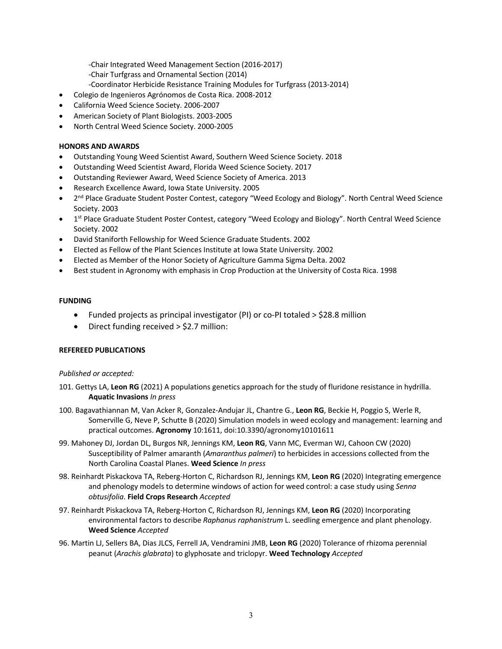-Chair Integrated Weed Management Section (2016-2017)

- -Chair Turfgrass and Ornamental Section (2014)
- -Coordinator Herbicide Resistance Training Modules for Turfgrass (2013-2014)
- Colegio de Ingenieros Agrónomos de Costa Rica. 2008-2012
- California Weed Science Society. 2006-2007
- American Society of Plant Biologists. 2003-2005
- North Central Weed Science Society. 2000-2005

# **HONORS AND AWARDS**

- Outstanding Young Weed Scientist Award, Southern Weed Science Society. 2018
- Outstanding Weed Scientist Award, Florida Weed Science Society. 2017
- Outstanding Reviewer Award, Weed Science Society of America. 2013
- Research Excellence Award, Iowa State University. 2005
- 2<sup>nd</sup> Place Graduate Student Poster Contest, category "Weed Ecology and Biology". North Central Weed Science Society. 2003
- 1<sup>st</sup> Place Graduate Student Poster Contest, category "Weed Ecology and Biology". North Central Weed Science Society. 2002
- David Staniforth Fellowship for Weed Science Graduate Students. 2002
- Elected as Fellow of the Plant Sciences Institute at Iowa State University. 2002
- Elected as Member of the Honor Society of Agriculture Gamma Sigma Delta. 2002
- Best student in Agronomy with emphasis in Crop Production at the University of Costa Rica. 1998

## **FUNDING**

- Funded projects as principal investigator (PI) or co-PI totaled > \$28.8 million
- Direct funding received > \$2.7 million:

## **REFEREED PUBLICATIONS**

## *Published or accepted:*

- 101. Gettys LA, **Leon RG** (2021) A populations genetics approach for the study of fluridone resistance in hydrilla. **Aquatic Invasions** *In press*
- 100. Bagavathiannan M, Van Acker R, Gonzalez-Andujar JL, Chantre G., **Leon RG**, Beckie H, Poggio S, Werle R, Somerville G, Neve P, Schutte B (2020) Simulation models in weed ecology and management: learning and practical outcomes. **Agronomy** 10:1611, doi:10.3390/agronomy10101611
- 99. Mahoney DJ, Jordan DL, Burgos NR, Jennings KM, **Leon RG**, Vann MC, Everman WJ, Cahoon CW (2020) Susceptibility of Palmer amaranth (*Amaranthus palmeri*) to herbicides in accessions collected from the North Carolina Coastal Planes. **Weed Science** *In press*
- 98. Reinhardt Piskackova TA, Reberg-Horton C, Richardson RJ, Jennings KM, **Leon RG** (2020) Integrating emergence and phenology models to determine windows of action for weed control: a case study using *Senna obtusifolia*. **Field Crops Research** *Accepted*
- 97. Reinhardt Piskackova TA, Reberg-Horton C, Richardson RJ, Jennings KM, **Leon RG** (2020) Incorporating environmental factors to describe *Raphanus raphanistrum* L. seedling emergence and plant phenology. **Weed Science** *Accepted*
- 96. Martin LJ, Sellers BA, Dias JLCS, Ferrell JA, Vendramini JMB, **Leon RG** (2020) Tolerance of rhizoma perennial peanut (*Arachis glabrata*) to glyphosate and triclopyr. **Weed Technology** *Accepted*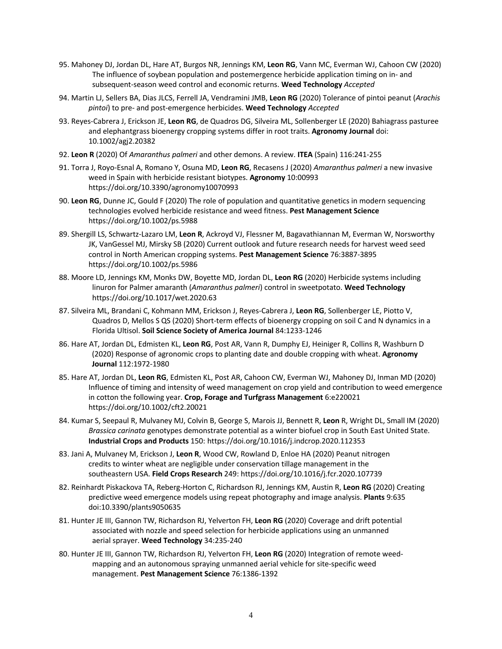- 95. Mahoney DJ, Jordan DL, Hare AT, Burgos NR, Jennings KM, **Leon RG**, Vann MC, Everman WJ, Cahoon CW (2020) The influence of soybean population and postemergence herbicide application timing on in- and subsequent-season weed control and economic returns. **Weed Technology** *Accepted*
- 94. Martin LJ, Sellers BA, Dias JLCS, Ferrell JA, Vendramini JMB, **Leon RG** (2020) Tolerance of pintoi peanut (*Arachis pintoi*) to pre- and post-emergence herbicides. **Weed Technology** *Accepted*
- 93. Reyes-Cabrera J, Erickson JE, **Leon RG**, de Quadros DG, Silveira ML, Sollenberger LE (2020) Bahiagrass pasturee and elephantgrass bioenergy cropping systems differ in root traits. **Agronomy Journal** doi: 10.1002/agj2.20382
- 92. **Leon R** (2020) Of *Amaranthus palmeri* and other demons. A review. **ITEA** (Spain) 116:241-255
- 91. Torra J, Royo-Esnal A, Romano Y, Osuna MD, **Leon RG**, Recasens J (2020) *Amaranthus palmeri* a new invasive weed in Spain with herbicide resistant biotypes. **Agronomy** 10:00993 https://doi.org/10.3390/agronomy10070993
- 90. **Leon RG**, Dunne JC, Gould F (2020) The role of population and quantitative genetics in modern sequencing technologies evolved herbicide resistance and weed fitness. **Pest Management Science** https://doi.org/10.1002/ps.5988
- 89. Shergill LS, Schwartz-Lazaro LM, **Leon R**, Ackroyd VJ, Flessner M, Bagavathiannan M, Everman W, Norsworthy JK, VanGessel MJ, Mirsky SB (2020) Current outlook and future research needs for harvest weed seed control in North American cropping systems. **Pest Management Science** 76:3887-3895 https://doi.org/10.1002/ps.5986
- 88. Moore LD, Jennings KM, Monks DW, Boyette MD, Jordan DL, **Leon RG** (2020) Herbicide systems including linuron for Palmer amaranth (*Amaranthus palmeri*) control in sweetpotato. **Weed Technology**  https://doi.org/10.1017/wet.2020.63
- 87. Silveira ML, Brandani C, Kohmann MM, Erickson J, Reyes-Cabrera J, **Leon RG**, Sollenberger LE, Piotto V, Quadros D, Mellos S QS (2020) Short-term effects of bioenergy cropping on soil C and N dynamics in a Florida Ultisol. **Soil Science Society of America Journal** 84:1233-1246
- 86. Hare AT, Jordan DL, Edmisten KL, **Leon RG**, Post AR, Vann R, Dumphy EJ, Heiniger R, Collins R, Washburn D (2020) Response of agronomic crops to planting date and double cropping with wheat. **Agronomy Journal** 112:1972-1980
- 85. Hare AT, Jordan DL, **Leon RG**, Edmisten KL, Post AR, Cahoon CW, Everman WJ, Mahoney DJ, Inman MD (2020) Influence of timing and intensity of weed management on crop yield and contribution to weed emergence in cotton the following year. **Crop, Forage and Turfgrass Management** 6:e220021 https://doi.org/10.1002/cft2.20021
- 84. Kumar S, Seepaul R, Mulvaney MJ, Colvin B, George S, Marois JJ, Bennett R, **Leon** R, Wright DL, Small IM (2020) *Brassica carinata* genotypes demonstrate potential as a winter biofuel crop in South East United State. **Industrial Crops and Products** 150: https://doi.org/10.1016/j.indcrop.2020.112353
- 83. Jani A, Mulvaney M, Erickson J, **Leon R**, Wood CW, Rowland D, Enloe HA (2020) Peanut nitrogen credits to winter wheat are negligible under conservation tillage management in the southeastern USA. **Field Crops Research** 249: https://doi.org/10.1016/j.fcr.2020.107739
- 82. Reinhardt Piskackova TA, Reberg-Horton C, Richardson RJ, Jennings KM, Austin R, **Leon RG** (2020) Creating predictive weed emergence models using repeat photography and image analysis. **Plants** 9:635 doi:10.3390/plants9050635
- 81. Hunter JE III, Gannon TW, Richardson RJ, Yelverton FH, **Leon RG** (2020) Coverage and drift potential associated with nozzle and speed selection for herbicide applications using an unmanned aerial sprayer. **Weed Technology** 34:235-240
- 80. Hunter JE III, Gannon TW, Richardson RJ, Yelverton FH, **Leon RG** (2020) Integration of remote weedmapping and an autonomous spraying unmanned aerial vehicle for site-specific weed management. **Pest Management Science** 76:1386-1392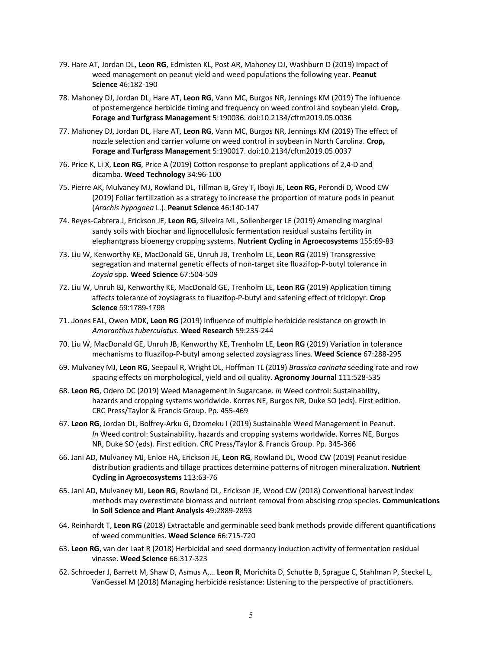- 79. Hare AT, Jordan DL, **Leon RG**, Edmisten KL, Post AR, Mahoney DJ, Washburn D (2019) Impact of weed management on peanut yield and weed populations the following year. **Peanut Science** 46:182-190
- 78. Mahoney DJ, Jordan DL, Hare AT, **Leon RG**, Vann MC, Burgos NR, Jennings KM (2019) The influence of postemergence herbicide timing and frequency on weed control and soybean yield. **Crop, Forage and Turfgrass Management** 5:190036. doi:10.2134/cftm2019.05.0036
- 77. Mahoney DJ, Jordan DL, Hare AT, **Leon RG**, Vann MC, Burgos NR, Jennings KM (2019) The effect of nozzle selection and carrier volume on weed control in soybean in North Carolina. **Crop, Forage and Turfgrass Management** 5:190017. doi:10.2134/cftm2019.05.0037
- 76. Price K, Li X, **Leon RG**, Price A (2019) Cotton response to preplant applications of 2,4-D and dicamba. **Weed Technology** 34:96-100
- 75. Pierre AK, Mulvaney MJ, Rowland DL, Tillman B, Grey T, Iboyi JE, **Leon RG**, Perondi D, Wood CW (2019) Foliar fertilization as a strategy to increase the proportion of mature pods in peanut (*Arachis hypogaea* L.). **Peanut Science** 46:140-147
- 74. Reyes-Cabrera J, Erickson JE, **Leon RG**, Silveira ML, Sollenberger LE (2019) Amending marginal sandy soils with biochar and lignocellulosic fermentation residual sustains fertility in elephantgrass bioenergy cropping systems. **Nutrient Cycling in Agroecosystems** 155:69-83
- 73. Liu W, Kenworthy KE, MacDonald GE, Unruh JB, Trenholm LE, **Leon RG** (2019) Transgressive segregation and maternal genetic effects of non-target site fluazifop-P-butyl tolerance in *Zoysia* spp. **Weed Science** 67:504-509
- 72. Liu W, Unruh BJ, Kenworthy KE, MacDonald GE, Trenholm LE, **Leon RG** (2019) Application timing affects tolerance of zoysiagrass to fluazifop-P-butyl and safening effect of triclopyr. **Crop Science** 59:1789-1798
- 71. Jones EAL, Owen MDK, **Leon RG** (2019) Influence of multiple herbicide resistance on growth in *Amaranthus tuberculatus*. **Weed Research** 59:235-244
- 70. Liu W, MacDonald GE, Unruh JB, Kenworthy KE, Trenholm LE, **Leon RG** (2019) Variation in tolerance mechanisms to fluazifop-P-butyl among selected zoysiagrass lines. **Weed Science** 67:288-295
- 69. Mulvaney MJ, **Leon RG**, Seepaul R, Wright DL, Hoffman TL (2019) *Brassica carinata* seeding rate and row spacing effects on morphological, yield and oil quality. **Agronomy Journal** 111:528-535
- 68. **Leon RG**, Odero DC (2019) Weed Management in Sugarcane. *In* Weed control: Sustainability, hazards and cropping systems worldwide. Korres NE, Burgos NR, Duke SO (eds). First edition. CRC Press/Taylor & Francis Group. Pp. 455-469
- 67. **Leon RG**, Jordan DL, Bolfrey-Arku G, Dzomeku I (2019) Sustainable Weed Management in Peanut. *In* Weed control: Sustainability, hazards and cropping systems worldwide. Korres NE, Burgos NR, Duke SO (eds). First edition. CRC Press/Taylor & Francis Group. Pp. 345-366
- 66. Jani AD, Mulvaney MJ, Enloe HA, Erickson JE, **Leon RG**, Rowland DL, Wood CW (2019) Peanut residue distribution gradients and tillage practices determine patterns of nitrogen mineralization. **Nutrient Cycling in Agroecosystems** 113:63-76
- 65. Jani AD, Mulvaney MJ, **Leon RG**, Rowland DL, Erickson JE, Wood CW (2018) Conventional harvest index methods may overestimate biomass and nutrient removal from abscising crop species. **Communications in Soil Science and Plant Analysis** 49:2889-2893
- 64. Reinhardt T, **Leon RG** (2018) Extractable and germinable seed bank methods provide different quantifications of weed communities. **Weed Science** 66:715-720
- 63. **Leon RG**, van der Laat R (2018) Herbicidal and seed dormancy induction activity of fermentation residual vinasse. **Weed Science** 66:317-323
- 62. Schroeder J, Barrett M, Shaw D, Asmus A,… **Leon R**, Morichita D, Schutte B, Sprague C, Stahlman P, Steckel L, VanGessel M (2018) Managing herbicide resistance: Listening to the perspective of practitioners.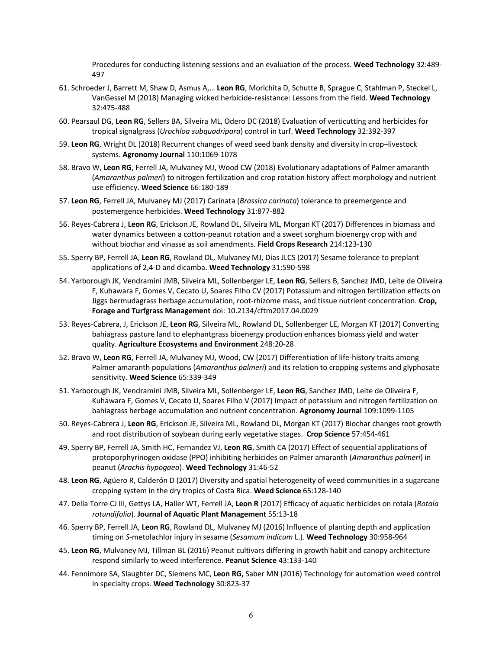Procedures for conducting listening sessions and an evaluation of the process. **Weed Technology** 32:489- 497

- 61. Schroeder J, Barrett M, Shaw D, Asmus A,… **Leon RG**, Morichita D, Schutte B, Sprague C, Stahlman P, Steckel L, VanGessel M (2018) Managing wicked herbicide-resistance: Lessons from the field. **Weed Technology**  32:475-488
- 60. Pearsaul DG, **Leon RG**, Sellers BA, Silveira ML, Odero DC (2018) Evaluation of verticutting and herbicides for tropical signalgrass (*Urochloa subquadripara*) control in turf. **Weed Technology** 32:392-397
- 59. **Leon RG**, Wright DL (2018) Recurrent changes of weed seed bank density and diversity in crop–livestock systems. **Agronomy Journal** 110:1069-1078
- 58. Bravo W, **Leon RG**, Ferrell JA, Mulvaney MJ, Wood CW (2018) Evolutionary adaptations of Palmer amaranth (*Amaranthus palmeri*) to nitrogen fertilization and crop rotation history affect morphology and nutrient use efficiency. **Weed Science** 66:180-189
- 57. **Leon RG**, Ferrell JA, Mulvaney MJ (2017) Carinata (*Brassica carinata*) tolerance to preemergence and postemergence herbicides. **Weed Technology** 31:877-882
- 56. Reyes-Cabrera J, **Leon RG**, Erickson JE, Rowland DL, Silveira ML, Morgan KT (2017) Differences in biomass and water dynamics between a cotton-peanut rotation and a sweet sorghum bioenergy crop with and without biochar and vinasse as soil amendments. **Field Crops Research** 214:123-130
- 55. Sperry BP, Ferrell JA, **Leon RG**, Rowland DL, Mulvaney MJ, Dias JLCS (2017) Sesame tolerance to preplant applications of 2,4-D and dicamba. **Weed Technology** 31:590-598
- 54. Yarborough JK, Vendramini JMB, Silveira ML, Sollenberger LE, **Leon RG**, Sellers B, Sanchez JMD, Leite de Oliveira F, Kuhawara F, Gomes V, Cecato U, Soares Filho CV (2017) Potassium and nitrogen fertilization effects on Jiggs bermudagrass herbage accumulation, root-rhizome mass, and tissue nutrient concentration. **Crop, Forage and Turfgrass Management** doi: 10.2134/cftm2017.04.0029
- 53. Reyes-Cabrera, J, Erickson JE, **Leon RG**, Silveira ML, Rowland DL, Sollenberger LE, Morgan KT (2017) Converting bahiagrass pasture land to elephantgrass bioenergy production enhances biomass yield and water quality. **Agriculture Ecosystems and Environment** 248:20-28
- 52. Bravo W, **Leon RG**, Ferrell JA, Mulvaney MJ, Wood, CW (2017) Differentiation of life-history traits among Palmer amaranth populations (*Amaranthus palmeri*) and its relation to cropping systems and glyphosate sensitivity. **Weed Science** 65:339-349
- 51. Yarborough JK, Vendramini JMB, Silveira ML, Sollenberger LE, **Leon RG**, Sanchez JMD, Leite de Oliveira F, Kuhawara F, Gomes V, Cecato U, Soares Filho V (2017) Impact of potassium and nitrogen fertilization on bahiagrass herbage accumulation and nutrient concentration. **Agronomy Journal** 109:1099-1105
- 50. Reyes-Cabrera J, **Leon RG**, Erickson JE, Silveira ML, Rowland DL, Morgan KT (2017) Biochar changes root growth and root distribution of soybean during early vegetative stages. **Crop Science** 57:454-461
- 49. Sperry BP, Ferrell JA, Smith HC, Fernandez VJ, **Leon RG**, Smith CA (2017) Effect of sequential applications of protoporphyrinogen oxidase (PPO) inhibiting herbicides on Palmer amaranth (*Amaranthus palmeri*) in peanut (*Arachis hypogaea*). **Weed Technology** 31:46-52
- 48. **Leon RG**, Agüero R, Calderón D (2017) Diversity and spatial heterogeneity of weed communities in a sugarcane cropping system in the dry tropics of Costa Rica. **Weed Science** 65:128-140
- 47. Della Torre CJ III, Gettys LA, Haller WT, Ferrell JA, **Leon R** (2017) Efficacy of aquatic herbicides on rotala (*Rotala rotundifolia*). **Journal of Aquatic Plant Management** 55:13-18
- 46. Sperry BP, Ferrell JA, **Leon RG**, Rowland DL, Mulvaney MJ (2016) Influence of planting depth and application timing on *S*-metolachlor injury in sesame (*Sesamum indicum* L.). **Weed Technology** 30:958-964
- 45. **Leon RG**, Mulvaney MJ, Tillman BL (2016) Peanut cultivars differing in growth habit and canopy architecture respond similarly to weed interference. **Peanut Science** 43:133-140
- 44. Fennimore SA, Slaughter DC, Siemens MC, **Leon RG,** Saber MN (2016) Technology for automation weed control in specialty crops. **Weed Technology** 30:823-37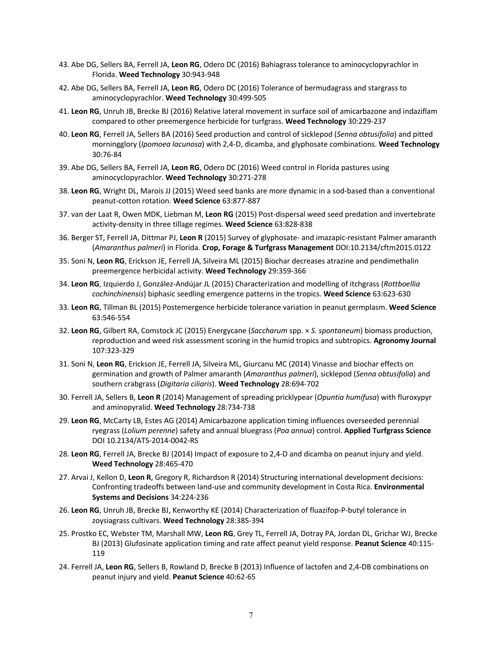- 43. Abe DG, Sellers BA, Ferrell JA, **Leon RG**, Odero DC (2016) Bahiagrass tolerance to aminocyclopyrachlor in Florida. **Weed Technology** 30:943-948
- 42. Abe DG, Sellers BA, Ferrell JA, **Leon RG**, Odero DC (2016) Tolerance of bermudagrass and stargrass to aminocyclopyrachlor. **Weed Technology** 30:499-505
- 41. **Leon RG**, Unruh JB, Brecke BJ (2016) Relative lateral movement in surface soil of amicarbazone and indaziflam compared to other preemergence herbicide for turfgrass. **Weed Technology** 30:229-237
- 40. **Leon RG**, Ferrell JA, Sellers BA (2016) Seed production and control of sicklepod (*Senna obtusifolia*) and pitted morningglory (*Ipomoea lacunosa*) with 2,4-D, dicamba, and glyphosate combinations. **Weed Technology** 30:76-84
- 39. Abe DG, Sellers BA, Ferrell JA, **Leon RG**, Odero DC (2016) Weed control in Florida pastures using aminocyclopyrachlor. **Weed Technology** 30:271-278
- 38. **Leon RG**, Wright DL, Marois JJ (2015) Weed seed banks are more dynamic in a sod-based than a conventional peanut-cotton rotation. **Weed Science** 63:877-887
- 37. van der Laat R, Owen MDK, Liebman M, **Leon RG** (2015) Post-dispersal weed seed predation and invertebrate activity-density in three tillage regimes. **Weed Science** 63:828-838
- 36. Berger ST, Ferrell JA, Dittmar PJ, **Leon R** (2015) Survey of glyphosate- and imazapic-resistant Palmer amaranth (*Amaranthus palmeri*) in Florida. **Crop, Forage & Turfgrass Management** DOI:10.2134/cftm2015.0122
- 35. Soni N, **Leon RG**, Erickson JE, Ferrell JA, Silveira ML (2015) Biochar decreases atrazine and pendimethalin preemergence herbicidal activity. **Weed Technology** 29:359-366
- 34. **Leon RG**, Izquierdo J, González-Andújar JL (2015) Characterization and modelling of itchgrass (*Rottboellia cochinchinensis*) biphasic seedling emergence patterns in the tropics. **Weed Science** 63:623-630
- 33. **Leon RG**, Tillman BL (2015) Postemergence herbicide tolerance variation in peanut germplasm. **Weed Science** 63:546-554
- 32. **Leon RG**, Gilbert RA, Comstock JC (2015) Energycane (*Saccharum* spp. × *S. spontaneum*) biomass production, reproduction and weed risk assessment scoring in the humid tropics and subtropics. **Agronomy Journal** 107:323-329
- 31. Soni N, **Leon RG**, Erickson JE, Ferrell JA, Silveira ML, Giurcanu MC (2014) Vinasse and biochar effects on germination and growth of Palmer amaranth (*Amaranthus palmeri*), sicklepod (*Senna obtusifolia*) and southern crabgrass (*Digitaria ciliaris*). **Weed Technology** 28:694-702
- 30. Ferrell JA, Sellers B, **Leon R** (2014) Management of spreading pricklypear (*Opuntia humifusa*) with fluroxypyr and aminopyralid. **Weed Technology** 28:734-738
- 29. **Leon RG**, McCarty LB, Estes AG (2014) Amicarbazone application timing influences overseeded perennial ryegrass (*Lolium perenne*) safety and annual bluegrass (*Poa annua*) control. **Applied Turfgrass Science** DOI 10.2134/ATS-2014-0042-RS
- 28. **Leon RG**, Ferrell JA, Brecke BJ (2014) Impact of exposure to 2,4-D and dicamba on peanut injury and yield. **Weed Technology** 28:465-470
- 27. Arvai J, Kellon D, **Leon R**, Gregory R, Richardson R (2014) Structuring international development decisions: Confronting tradeoffs between land-use and community development in Costa Rica. **Environmental Systems and Decisions** 34:224*-*236
- 26. **Leon RG**, Unruh JB, Brecke BJ, Kenworthy KE (2014) Characterization of fluazifop-P-butyl tolerance in zoysiagrass cultivars. **Weed Technology** 28:385-394
- 25. Prostko EC, Webster TM, Marshall MW, **Leon RG**, Grey TL, Ferrell JA, Dotray PA, Jordan DL, Grichar WJ, Brecke BJ (2013) Glufosinate application timing and rate affect peanut yield response. **Peanut Science** 40:115- 119
- 24. Ferrell JA, **Leon RG**, Sellers B, Rowland D, Brecke B (2013) Influence of lactofen and 2,4-DB combinations on peanut injury and yield. **Peanut Science** 40:62-65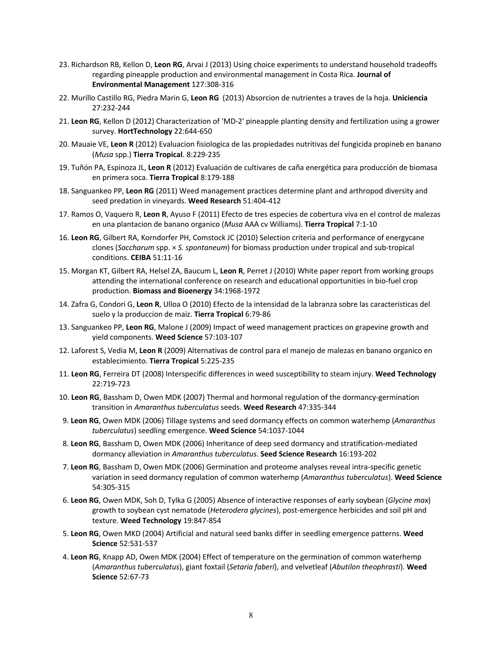- 23. Richardson RB, Kellon D, **Leon RG**, Arvai J (2013) Using choice experiments to understand household tradeoffs regarding pineapple production and environmental management in Costa Rica. **Journal of Environmental Management** 127:308-316
- 22. Murillo Castillo RG, Piedra Marin G, **Leon RG** (2013) Absorcion de nutrientes a traves de la hoja. **Uniciencia** 27:232-244
- 21. **Leon RG**, Kellon D (2012) Characterization of 'MD-2' pineapple planting density and fertilization using a grower survey. **HortTechnology** 22:644-650
- 20. Mauaie VE, **Leon R** (2012) Evaluacion fisiologica de las propiedades nutritivas del fungicida propineb en banano (*Musa* spp.) **Tierra Tropical**. 8:229-235
- 19. Tuñón PA, Espinoza JL, **Leon R** (2012) Evaluación de cultivares de caña energética para producción de biomasa en primera soca. **Tierra Tropical** 8:179-188
- 18. Sanguankeo PP, **Leon RG** (2011) Weed management practices determine plant and arthropod diversity and seed predation in vineyards. **Weed Research** 51:404-412
- 17. Ramos O, Vaquero R, **Leon R**, Ayuso F (2011) Efecto de tres especies de cobertura viva en el control de malezas en una plantacion de banano organico (*Musa* AAA cv Williams). **Tierra Tropical** 7:1-10
- 16. **Leon RG**, Gilbert RA, Korndorfer PH, Comstock JC (2010) Selection criteria and performance of energycane clones (*Saccharum* spp. × *S. spontaneum*) for biomass production under tropical and sub-tropical conditions. **CEIBA** 51:11-16
- 15. Morgan KT, Gilbert RA, Helsel ZA, Baucum L, **Leon R**, Perret J (2010) White paper report from working groups attending the international conference on research and educational opportunities in bio-fuel crop production. **Biomass and Bioenergy** 34:1968-1972
- 14. Zafra G, Condori G, **Leon R**, Ulloa O (2010) Efecto de la intensidad de la labranza sobre las caracteristicas del suelo y la produccion de maiz. **Tierra Tropical** 6:79-86
- 13. Sanguankeo PP, **Leon RG**, Malone J (2009) Impact of weed management practices on grapevine growth and yield components. **Weed Science** 57:103-107
- 12. Laforest S, Vedia M, **Leon R** (2009) Alternativas de control para el manejo de malezas en banano organico en establecimiento. **Tierra Tropical** 5:225-235
- 11. **Leon RG**, Ferreira DT (2008) Interspecific differences in weed susceptibility to steam injury. **Weed Technology** 22:719-723
- 10. **Leon RG**, Bassham D, Owen MDK (2007) Thermal and hormonal regulation of the dormancy-germination transition in *Amaranthus tuberculatus* seeds. **Weed Research** 47:335-344
- 9. **Leon RG**, Owen MDK (2006) Tillage systems and seed dormancy effects on common waterhemp (*Amaranthus tuberculatus*) seedling emergence. **Weed Science** 54:1037-1044
- 8. **Leon RG**, Bassham D, Owen MDK (2006) Inheritance of deep seed dormancy and stratification-mediated dormancy alleviation in *Amaranthus tuberculatus*. **Seed Science Research** 16:193-202
- 7. **Leon RG**, Bassham D, Owen MDK (2006) Germination and proteome analyses reveal intra-specific genetic variation in seed dormancy regulation of common waterhemp (*Amaranthus tuberculatus*). **Weed Science** 54:305-315
- 6. **Leon RG**, Owen MDK, Soh D, Tylka G (2005) Absence of interactive responses of early soybean (*Glycine max*) growth to soybean cyst nematode (*Heterodera glycines*), post-emergence herbicides and soil pH and texture. **Weed Technology** 19:847-854
- 5. **Leon RG**, Owen MKD (2004) Artificial and natural seed banks differ in seedling emergence patterns. **Weed Science** 52:531-537
- 4. **Leon RG**, Knapp AD, Owen MDK (2004) Effect of temperature on the germination of common waterhemp (*Amaranthus tuberculatus*), giant foxtail (*Setaria faberi*), and velvetleaf (*Abutilon theophrasti*). **Weed Science** 52:67-73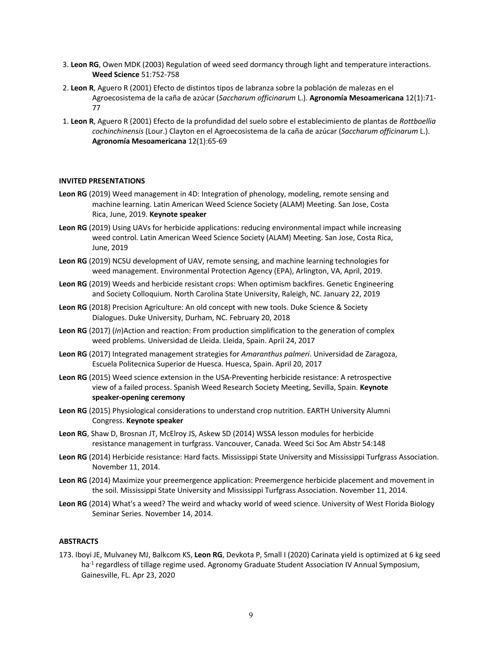- 3. **Leon RG**, Owen MDK (2003) Regulation of weed seed dormancy through light and temperature interactions. **Weed Science** 51:752-758
- 2. **Leon R**, Aguero R (2001) Efecto de distintos tipos de labranza sobre la población de malezas en el Agroecosistema de la caña de azúcar (*Saccharum officinarum* L.). **Agronomía Mesoamericana** 12(1):71- 77
- 1. **Leon R**, Aguero R (2001) Efecto de la profundidad del suelo sobre el establecimiento de plantas de *Rottboellia cochinchinensis* (Lour.) Clayton en el Agroecosistema de la caña de azúcar (*Saccharum officinarum* L.). **Agronomía Mesoamericana** 12(1):65-69

#### **INVITED PRESENTATIONS**

- **Leon RG** (2019) Weed management in 4D: Integration of phenology, modeling, remote sensing and machine learning. Latin American Weed Science Society (ALAM) Meeting. San Jose, Costa Rica, June, 2019. **Keynote speaker**
- **Leon RG** (2019) Using UAVs for herbicide applications: reducing environmental impact while increasing weed control. Latin American Weed Science Society (ALAM) Meeting. San Jose, Costa Rica, June, 2019
- **Leon RG** (2019) NCSU development of UAV, remote sensing, and machine learning technologies for weed management. Environmental Protection Agency (EPA), Arlington, VA, April, 2019.
- **Leon RG** (2019) Weeds and herbicide resistant crops: When optimism backfires. Genetic Engineering and Society Colloquium. North Carolina State University, Raleigh, NC. January 22, 2019
- **Leon RG** (2018) Precision Agriculture: An old concept with new tools. Duke Science & Society Dialogues. Duke University, Durham, NC. February 20, 2018
- **Leon RG** (2017) (*In*)Action and reaction: From production simplification to the generation of complex weed problems. Universidad de Lleida. Lleida, Spain. April 24, 2017
- **Leon RG** (2017) Integrated management strategies for *Amaranthus palmeri*. Universidad de Zaragoza, Escuela Politecnica Superior de Huesca. Huesca, Spain. April 20, 2017
- **Leon RG** (2015) Weed science extension in the USA-Preventing herbicide resistance: A retrospective view of a failed process. Spanish Weed Research Society Meeting, Sevilla, Spain. **Keynote speaker-opening ceremony**
- **Leon RG** (2015) Physiological considerations to understand crop nutrition. EARTH University Alumni Congress. **Keynote speaker**
- **Leon RG**, Shaw D, Brosnan JT, McElroy JS, Askew SD (2014) WSSA lesson modules for herbicide resistance management in turfgrass. Vancouver, Canada. Weed Sci Soc Am Abstr 54:148
- **Leon RG** (2014) Herbicide resistance: Hard facts. Mississippi State University and Mississippi Turfgrass Association. November 11, 2014.
- **Leon RG** (2014) Maximize your preemergence application: Preemergence herbicide placement and movement in the soil. Mississippi State University and Mississippi Turfgrass Association. November 11, 2014.
- **Leon RG** (2014) What's a weed? The weird and whacky world of weed science. University of West Florida Biology Seminar Series. November 14, 2014.

## **ABSTRACTS**

173. Iboyi JE, Mulvaney MJ, Balkcom KS, **Leon RG**, Devkota P, Small I (2020) Carinata yield is optimized at 6 kg seed ha<sup>-1</sup> regardless of tillage regime used. Agronomy Graduate Student Association IV Annual Symposium, Gainesville, FL. Apr 23, 2020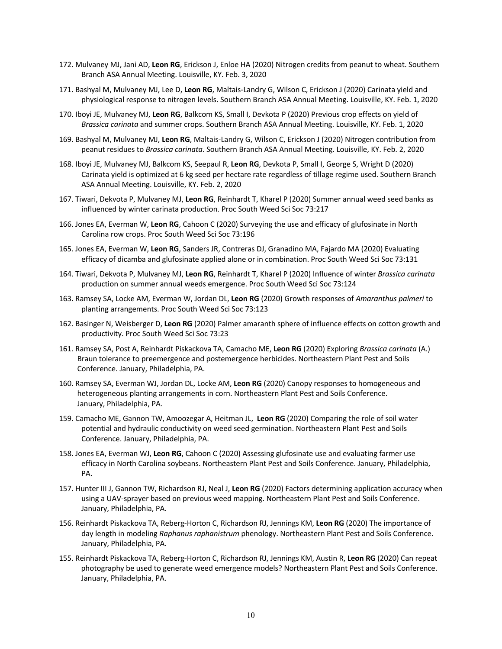- 172. Mulvaney MJ, Jani AD, **Leon RG**, Erickson J, Enloe HA (2020) Nitrogen credits from peanut to wheat. Southern Branch ASA Annual Meeting. Louisville, KY. Feb. 3, 2020
- 171. Bashyal M, Mulvaney MJ, Lee D, **Leon RG**, Maltais-Landry G, Wilson C, Erickson J (2020) Carinata yield and physiological response to nitrogen levels. Southern Branch ASA Annual Meeting. Louisville, KY. Feb. 1, 2020
- 170. Iboyi JE, Mulvaney MJ, **Leon RG**, Balkcom KS, Small I, Devkota P (2020) Previous crop effects on yield of *Brassica carinata* and summer crops. Southern Branch ASA Annual Meeting. Louisville, KY. Feb. 1, 2020
- 169. Bashyal M, Mulvaney MJ, **Leon RG**, Maltais-Landry G, Wilson C, Erickson J (2020) Nitrogen contribution from peanut residues to *Brassica carinata*. Southern Branch ASA Annual Meeting. Louisville, KY. Feb. 2, 2020
- 168. Iboyi JE, Mulvaney MJ, Balkcom KS, Seepaul R, **Leon RG**, Devkota P, Small I, George S, Wright D (2020) Carinata yield is optimized at 6 kg seed per hectare rate regardless of tillage regime used. Southern Branch ASA Annual Meeting. Louisville, KY. Feb. 2, 2020
- 167. Tiwari, Dekvota P, Mulvaney MJ, **Leon RG**, Reinhardt T, Kharel P (2020) Summer annual weed seed banks as influenced by winter carinata production. Proc South Weed Sci Soc 73:217
- 166. Jones EA, Everman W, **Leon RG**, Cahoon C (2020) Surveying the use and efficacy of glufosinate in North Carolina row crops. Proc South Weed Sci Soc 73:196
- 165. Jones EA, Everman W, **Leon RG**, Sanders JR, Contreras DJ, Granadino MA, Fajardo MA (2020) Evaluating efficacy of dicamba and glufosinate applied alone or in combination. Proc South Weed Sci Soc 73:131
- 164. Tiwari, Dekvota P, Mulvaney MJ, **Leon RG**, Reinhardt T, Kharel P (2020) Influence of winter *Brassica carinata* production on summer annual weeds emergence. Proc South Weed Sci Soc 73:124
- 163. Ramsey SA, Locke AM, Everman W, Jordan DL, **Leon RG** (2020) Growth responses of *Amaranthus palmeri* to planting arrangements. Proc South Weed Sci Soc 73:123
- 162. Basinger N, Weisberger D, **Leon RG** (2020) Palmer amaranth sphere of influence effects on cotton growth and productivity. Proc South Weed Sci Soc 73:23
- 161. Ramsey SA, Post A, Reinhardt Piskackova TA, Camacho ME, **Leon RG** (2020) Exploring *Brassica carinata* (A.) Braun tolerance to preemergence and postemergence herbicides. Northeastern Plant Pest and Soils Conference. January, Philadelphia, PA.
- 160. Ramsey SA, Everman WJ, Jordan DL, Locke AM, **Leon RG** (2020) Canopy responses to homogeneous and heterogeneous planting arrangements in corn. Northeastern Plant Pest and Soils Conference. January, Philadelphia, PA.
- 159. Camacho ME, Gannon TW, Amoozegar A, Heitman JL, **Leon RG** (2020) Comparing the role of soil water potential and hydraulic conductivity on weed seed germination. Northeastern Plant Pest and Soils Conference. January, Philadelphia, PA.
- 158. Jones EA, Everman WJ, **Leon RG**, Cahoon C (2020) Assessing glufosinate use and evaluating farmer use efficacy in North Carolina soybeans. Northeastern Plant Pest and Soils Conference. January, Philadelphia, PA.
- 157. Hunter III J, Gannon TW, Richardson RJ, Neal J, **Leon RG** (2020) Factors determining application accuracy when using a UAV-sprayer based on previous weed mapping. Northeastern Plant Pest and Soils Conference. January, Philadelphia, PA.
- 156. Reinhardt Piskackova TA, Reberg-Horton C, Richardson RJ, Jennings KM, **Leon RG** (2020) The importance of day length in modeling *Raphanus raphanistrum* phenology. Northeastern Plant Pest and Soils Conference. January, Philadelphia, PA.
- 155. Reinhardt Piskackova TA, Reberg-Horton C, Richardson RJ, Jennings KM, Austin R, **Leon RG** (2020) Can repeat photography be used to generate weed emergence models? Northeastern Plant Pest and Soils Conference. January, Philadelphia, PA.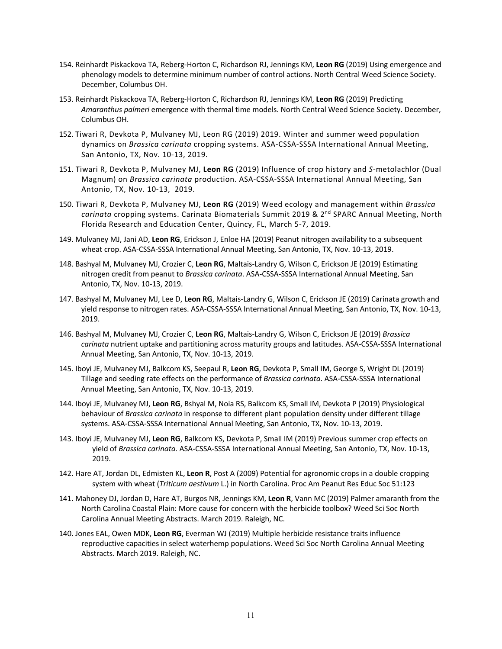- 154. Reinhardt Piskackova TA, Reberg-Horton C, Richardson RJ, Jennings KM, **Leon RG** (2019) Using emergence and phenology models to determine minimum number of control actions. North Central Weed Science Society. December, Columbus OH.
- 153. Reinhardt Piskackova TA, Reberg-Horton C, Richardson RJ, Jennings KM, **Leon RG** (2019) Predicting *Amaranthus palmeri* emergence with thermal time models. North Central Weed Science Society. December, Columbus OH.
- 152. Tiwari R, Devkota P, Mulvaney MJ, Leon RG (2019) 2019. Winter and summer weed population dynamics on *Brassica carinata* cropping systems. ASA-CSSA-SSSA International Annual Meeting, San Antonio, TX, Nov. 10-13, 2019.
- 151. Tiwari R, Devkota P, Mulvaney MJ, **Leon RG** (2019) Influence of crop history and *S*-metolachlor (Dual Magnum) on *Brassica carinata* production. ASA-CSSA-SSSA International Annual Meeting, San Antonio, TX, Nov. 10-13, 2019.
- 150. Tiwari R, Devkota P, Mulvaney MJ, **Leon RG** (2019) Weed ecology and management within *Brassica*  carinata cropping systems. Carinata Biomaterials Summit 2019 & 2<sup>nd</sup> SPARC Annual Meeting, North Florida Research and Education Center, Quincy, FL, March 5-7, 2019.
- 149. Mulvaney MJ, Jani AD, **Leon RG**, Erickson J, Enloe HA (2019) Peanut nitrogen availability to a subsequent wheat crop. ASA-CSSA-SSSA International Annual Meeting, San Antonio, TX, Nov. 10-13, 2019.
- 148. Bashyal M, Mulvaney MJ, Crozier C, **Leon RG**, Maltais-Landry G, Wilson C, Erickson JE (2019) Estimating nitrogen credit from peanut to *Brassica carinata*. ASA-CSSA-SSSA International Annual Meeting, San Antonio, TX, Nov. 10-13, 2019.
- 147. Bashyal M, Mulvaney MJ, Lee D, **Leon RG**, Maltais-Landry G, Wilson C, Erickson JE (2019) Carinata growth and yield response to nitrogen rates. ASA-CSSA-SSSA International Annual Meeting, San Antonio, TX, Nov. 10-13, 2019.
- 146. Bashyal M, Mulvaney MJ, Crozier C, **Leon RG**, Maltais-Landry G, Wilson C, Erickson JE (2019) *Brassica carinata* nutrient uptake and partitioning across maturity groups and latitudes. ASA-CSSA-SSSA International Annual Meeting, San Antonio, TX, Nov. 10-13, 2019.
- 145. Iboyi JE, Mulvaney MJ, Balkcom KS, Seepaul R, **Leon RG**, Devkota P, Small IM, George S, Wright DL (2019) Tillage and seeding rate effects on the performance of *Brassica carinata*. ASA-CSSA-SSSA International Annual Meeting, San Antonio, TX, Nov. 10-13, 2019.
- 144. Iboyi JE, Mulvaney MJ, **Leon RG**, Bshyal M, Noia RS, Balkcom KS, Small IM, Devkota P (2019) Physiological behaviour of *Brassica carinata* in response to different plant population density under different tillage systems. ASA-CSSA-SSSA International Annual Meeting, San Antonio, TX, Nov. 10-13, 2019.
- 143. Iboyi JE, Mulvaney MJ, **Leon RG**, Balkcom KS, Devkota P, Small IM (2019) Previous summer crop effects on yield of *Brassica carinata*. ASA-CSSA-SSSA International Annual Meeting, San Antonio, TX, Nov. 10-13, 2019.
- 142. Hare AT, Jordan DL, Edmisten KL, **Leon R**, Post A (2009) Potential for agronomic crops in a double cropping system with wheat (*Triticum aestivum* L.) in North Carolina. Proc Am Peanut Res Educ Soc 51:123
- 141. Mahoney DJ, Jordan D, Hare AT, Burgos NR, Jennings KM, **Leon R**, Vann MC (2019) Palmer amaranth from the North Carolina Coastal Plain: More cause for concern with the herbicide toolbox? Weed Sci Soc North Carolina Annual Meeting Abstracts. March 2019. Raleigh, NC.
- 140. Jones EAL, Owen MDK, **Leon RG**, Everman WJ (2019) Multiple herbicide resistance traits influence reproductive capacities in select waterhemp populations. Weed Sci Soc North Carolina Annual Meeting Abstracts. March 2019. Raleigh, NC.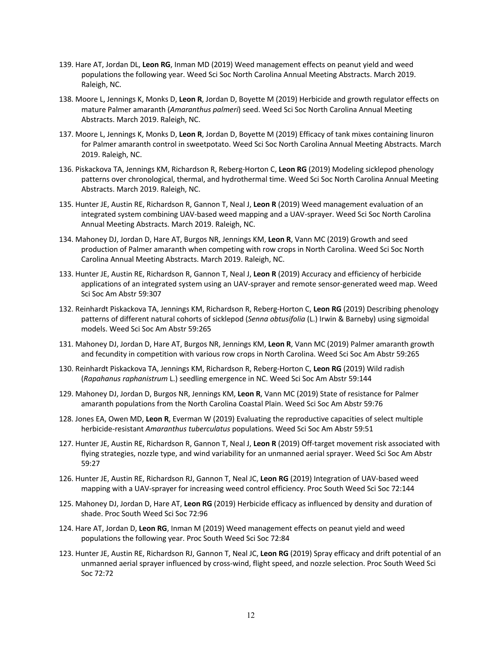- 139. Hare AT, Jordan DL, **Leon RG**, Inman MD (2019) Weed management effects on peanut yield and weed populations the following year. Weed Sci Soc North Carolina Annual Meeting Abstracts. March 2019. Raleigh, NC.
- 138. Moore L, Jennings K, Monks D, **Leon R**, Jordan D, Boyette M (2019) Herbicide and growth regulator effects on mature Palmer amaranth (*Amaranthus palmeri*) seed. Weed Sci Soc North Carolina Annual Meeting Abstracts. March 2019. Raleigh, NC.
- 137. Moore L, Jennings K, Monks D, **Leon R**, Jordan D, Boyette M (2019) Efficacy of tank mixes containing linuron for Palmer amaranth control in sweetpotato. Weed Sci Soc North Carolina Annual Meeting Abstracts. March 2019. Raleigh, NC.
- 136. Piskackova TA, Jennings KM, Richardson R, Reberg-Horton C, **Leon RG** (2019) Modeling sicklepod phenology patterns over chronological, thermal, and hydrothermal time. Weed Sci Soc North Carolina Annual Meeting Abstracts. March 2019. Raleigh, NC.
- 135. Hunter JE, Austin RE, Richardson R, Gannon T, Neal J, **Leon R** (2019) Weed management evaluation of an integrated system combining UAV-based weed mapping and a UAV-sprayer. Weed Sci Soc North Carolina Annual Meeting Abstracts. March 2019. Raleigh, NC.
- 134. Mahoney DJ, Jordan D, Hare AT, Burgos NR, Jennings KM, **Leon R**, Vann MC (2019) Growth and seed production of Palmer amaranth when competing with row crops in North Carolina. Weed Sci Soc North Carolina Annual Meeting Abstracts. March 2019. Raleigh, NC.
- 133. Hunter JE, Austin RE, Richardson R, Gannon T, Neal J, **Leon R** (2019) Accuracy and efficiency of herbicide applications of an integrated system using an UAV-sprayer and remote sensor-generated weed map. Weed Sci Soc Am Abstr 59:307
- 132. Reinhardt Piskackova TA, Jennings KM, Richardson R, Reberg-Horton C, **Leon RG** (2019) Describing phenology patterns of different natural cohorts of sicklepod (*Senna obtusifolia* (L.) Irwin & Barneby) using sigmoidal models. Weed Sci Soc Am Abstr 59:265
- 131. Mahoney DJ, Jordan D, Hare AT, Burgos NR, Jennings KM, **Leon R**, Vann MC (2019) Palmer amaranth growth and fecundity in competition with various row crops in North Carolina. Weed Sci Soc Am Abstr 59:265
- 130. Reinhardt Piskackova TA, Jennings KM, Richardson R, Reberg-Horton C, **Leon RG** (2019) Wild radish (*Rapahanus raphanistrum* L.) seedling emergence in NC. Weed Sci Soc Am Abstr 59:144
- 129. Mahoney DJ, Jordan D, Burgos NR, Jennings KM, **Leon R**, Vann MC (2019) State of resistance for Palmer amaranth populations from the North Carolina Coastal Plain. Weed Sci Soc Am Abstr 59:76
- 128. Jones EA, Owen MD, **Leon R**, Everman W (2019) Evaluating the reproductive capacities of select multiple herbicide-resistant *Amaranthus tuberculatus* populations. Weed Sci Soc Am Abstr 59:51
- 127. Hunter JE, Austin RE, Richardson R, Gannon T, Neal J, **Leon R** (2019) Off-target movement risk associated with flying strategies, nozzle type, and wind variability for an unmanned aerial sprayer. Weed Sci Soc Am Abstr 59:27
- 126. Hunter JE, Austin RE, Richardson RJ, Gannon T, Neal JC, **Leon RG** (2019) Integration of UAV-based weed mapping with a UAV-sprayer for increasing weed control efficiency. Proc South Weed Sci Soc 72:144
- 125. Mahoney DJ, Jordan D, Hare AT, **Leon RG** (2019) Herbicide efficacy as influenced by density and duration of shade. Proc South Weed Sci Soc 72:96
- 124. Hare AT, Jordan D, **Leon RG**, Inman M (2019) Weed management effects on peanut yield and weed populations the following year. Proc South Weed Sci Soc 72:84
- 123. Hunter JE, Austin RE, Richardson RJ, Gannon T, Neal JC, **Leon RG** (2019) Spray efficacy and drift potential of an unmanned aerial sprayer influenced by cross-wind, flight speed, and nozzle selection. Proc South Weed Sci Soc 72:72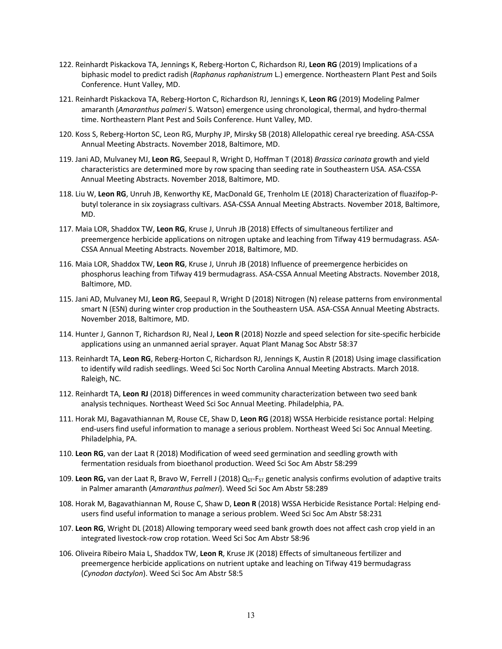- 122. Reinhardt Piskackova TA, Jennings K, Reberg-Horton C, Richardson RJ, **Leon RG** (2019) Implications of a biphasic model to predict radish (*Raphanus raphanistrum* L.) emergence. Northeastern Plant Pest and Soils Conference. Hunt Valley, MD.
- 121. Reinhardt Piskackova TA, Reberg-Horton C, Richardson RJ, Jennings K, **Leon RG** (2019) Modeling Palmer amaranth (*Amaranthus palmeri* S. Watson) emergence using chronological, thermal, and hydro-thermal time. Northeastern Plant Pest and Soils Conference. Hunt Valley, MD.
- 120. Koss S, Reberg-Horton SC, Leon RG, Murphy JP, Mirsky SB (2018) Allelopathic cereal rye breeding. ASA-CSSA Annual Meeting Abstracts. November 2018, Baltimore, MD.
- 119. Jani AD, Mulvaney MJ, **Leon RG**, Seepaul R, Wright D, Hoffman T (2018) *Brassica carinata* growth and yield characteristics are determined more by row spacing than seeding rate in Southeastern USA. ASA-CSSA Annual Meeting Abstracts. November 2018, Baltimore, MD.
- 118. Liu W, **Leon RG**, Unruh JB, Kenworthy KE, MacDonald GE, Trenholm LE (2018) Characterization of fluazifop-Pbutyl tolerance in six zoysiagrass cultivars. ASA-CSSA Annual Meeting Abstracts. November 2018, Baltimore, MD.
- 117. Maia LOR, Shaddox TW, **Leon RG**, Kruse J, Unruh JB (2018) Effects of simultaneous fertilizer and preemergence herbicide applications on nitrogen uptake and leaching from Tifway 419 bermudagrass. ASA-CSSA Annual Meeting Abstracts. November 2018, Baltimore, MD.
- 116. Maia LOR, Shaddox TW, **Leon RG**, Kruse J, Unruh JB (2018) Influence of preemergence herbicides on phosphorus leaching from Tifway 419 bermudagrass. ASA-CSSA Annual Meeting Abstracts. November 2018, Baltimore, MD.
- 115. Jani AD, Mulvaney MJ, **Leon RG**, Seepaul R, Wright D (2018) Nitrogen (N) release patterns from environmental smart N (ESN) during winter crop production in the Southeastern USA. ASA-CSSA Annual Meeting Abstracts. November 2018, Baltimore, MD.
- 114. Hunter J, Gannon T, Richardson RJ, Neal J, **Leon R** (2018) Nozzle and speed selection for site-specific herbicide applications using an unmanned aerial sprayer. Aquat Plant Manag Soc Abstr 58:37
- 113. Reinhardt TA, **Leon RG**, Reberg-Horton C, Richardson RJ, Jennings K, Austin R (2018) Using image classification to identify wild radish seedlings. Weed Sci Soc North Carolina Annual Meeting Abstracts. March 2018. Raleigh, NC.
- 112. Reinhardt TA, **Leon RJ** (2018) Differences in weed community characterization between two seed bank analysis techniques. Northeast Weed Sci Soc Annual Meeting. Philadelphia, PA.
- 111. Horak MJ, Bagavathiannan M, Rouse CE, Shaw D, **Leon RG** (2018) WSSA Herbicide resistance portal: Helping end-users find useful information to manage a serious problem. Northeast Weed Sci Soc Annual Meeting. Philadelphia, PA.
- 110. **Leon RG**, van der Laat R (2018) Modification of weed seed germination and seedling growth with fermentation residuals from bioethanol production. Weed Sci Soc Am Abstr 58:299
- 109. Leon RG, van der Laat R, Bravo W, Ferrell J (2018) Q<sub>ST</sub>-F<sub>ST</sub> genetic analysis confirms evolution of adaptive traits in Palmer amaranth (*Amaranthus palmeri*). Weed Sci Soc Am Abstr 58:289
- 108. Horak M, Bagavathiannan M, Rouse C, Shaw D, **Leon R** (2018) WSSA Herbicide Resistance Portal: Helping endusers find useful information to manage a serious problem. Weed Sci Soc Am Abstr 58:231
- 107. **Leon RG**, Wright DL (2018) Allowing temporary weed seed bank growth does not affect cash crop yield in an integrated livestock-row crop rotation. Weed Sci Soc Am Abstr 58:96
- 106. Oliveira Ribeiro Maia L, Shaddox TW, **Leon R**, Kruse JK (2018) Effects of simultaneous fertilizer and preemergence herbicide applications on nutrient uptake and leaching on Tifway 419 bermudagrass (*Cynodon dactylon*). Weed Sci Soc Am Abstr 58:5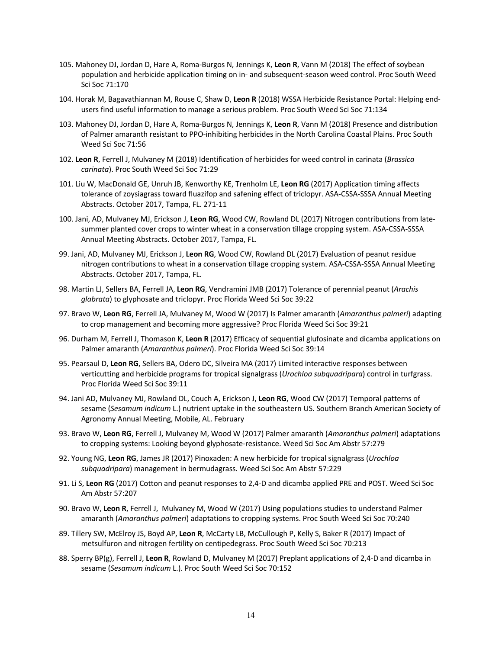- 105. Mahoney DJ, Jordan D, Hare A, Roma-Burgos N, Jennings K, **Leon R**, Vann M (2018) The effect of soybean population and herbicide application timing on in- and subsequent-season weed control. Proc South Weed Sci Soc 71:170
- 104. Horak M, Bagavathiannan M, Rouse C, Shaw D, **Leon R** (2018) WSSA Herbicide Resistance Portal: Helping endusers find useful information to manage a serious problem. Proc South Weed Sci Soc 71:134
- 103. Mahoney DJ, Jordan D, Hare A, Roma-Burgos N, Jennings K, **Leon R**, Vann M (2018) Presence and distribution of Palmer amaranth resistant to PPO-inhibiting herbicides in the North Carolina Coastal Plains. Proc South Weed Sci Soc 71:56
- 102. **Leon R**, Ferrell J, Mulvaney M (2018) Identification of herbicides for weed control in carinata (*Brassica carinata*). Proc South Weed Sci Soc 71:29
- 101. Liu W, MacDonald GE, Unruh JB, Kenworthy KE, Trenholm LE, **Leon RG** (2017) Application timing affects tolerance of zoysiagrass toward fluazifop and safening effect of triclopyr. ASA-CSSA-SSSA Annual Meeting Abstracts. October 2017, Tampa, FL. 271-11
- 100. Jani, AD, Mulvaney MJ, Erickson J, **Leon RG**, Wood CW, Rowland DL (2017) Nitrogen contributions from latesummer planted cover crops to winter wheat in a conservation tillage cropping system. ASA-CSSA-SSSA Annual Meeting Abstracts. October 2017, Tampa, FL.
- 99. Jani, AD, Mulvaney MJ, Erickson J, **Leon RG**, Wood CW, Rowland DL (2017) Evaluation of peanut residue nitrogen contributions to wheat in a conservation tillage cropping system. ASA-CSSA-SSSA Annual Meeting Abstracts. October 2017, Tampa, FL.
- 98. Martin LJ, Sellers BA, Ferrell JA, **Leon RG**, Vendramini JMB (2017) Tolerance of perennial peanut (*Arachis glabrata*) to glyphosate and triclopyr. Proc Florida Weed Sci Soc 39:22
- 97. Bravo W, **Leon RG**, Ferrell JA, Mulvaney M, Wood W (2017) Is Palmer amaranth (*Amaranthus palmeri*) adapting to crop management and becoming more aggressive? Proc Florida Weed Sci Soc 39:21
- 96. Durham M, Ferrell J, Thomason K, **Leon R** (2017) Efficacy of sequential glufosinate and dicamba applications on Palmer amaranth (*Amaranthus palmeri*). Proc Florida Weed Sci Soc 39:14
- 95. Pearsaul D, **Leon RG**, Sellers BA, Odero DC, Silveira MA (2017) Limited interactive responses between verticutting and herbicide programs for tropical signalgrass (*Urochloa subquadripara*) control in turfgrass. Proc Florida Weed Sci Soc 39:11
- 94. Jani AD, Mulvaney MJ, Rowland DL, Couch A, Erickson J, **Leon RG**, Wood CW (2017) Temporal patterns of sesame (*Sesamum indicum* L.) nutrient uptake in the southeastern US. Southern Branch American Society of Agronomy Annual Meeting, Mobile, AL. February
- 93. Bravo W, **Leon RG**, Ferrell J, Mulvaney M, Wood W (2017) Palmer amaranth (*Amaranthus palmeri*) adaptations to cropping systems: Looking beyond glyphosate-resistance. Weed Sci Soc Am Abstr 57:279
- 92. Young NG, **Leon RG**, James JR (2017) Pinoxaden: A new herbicide for tropical signalgrass (*Urochloa subquadripara*) management in bermudagrass. Weed Sci Soc Am Abstr 57:229
- 91. Li S, **Leon RG** (2017) Cotton and peanut responses to 2,4-D and dicamba applied PRE and POST. Weed Sci Soc Am Abstr 57:207
- 90. Bravo W, **Leon R**, Ferrell J, Mulvaney M, Wood W (2017) Using populations studies to understand Palmer amaranth (*Amaranthus palmeri*) adaptations to cropping systems. Proc South Weed Sci Soc 70:240
- 89. Tillery SW, McElroy JS, Boyd AP, **Leon R**, McCarty LB, McCullough P, Kelly S, Baker R (2017) Impact of metsulfuron and nitrogen fertility on centipedegrass. Proc South Weed Sci Soc 70:213
- 88. Sperry BP(g), Ferrell J, **Leon R**, Rowland D, Mulvaney M (2017) Preplant applications of 2,4-D and dicamba in sesame (*Sesamum indicum* L.). Proc South Weed Sci Soc 70:152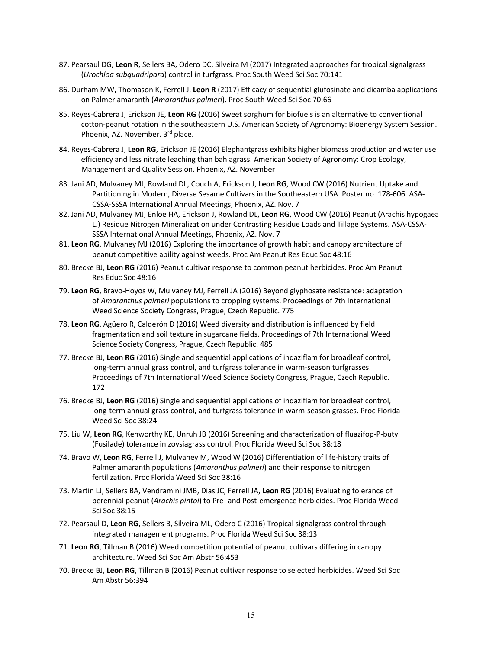- 87. Pearsaul DG, **Leon R**, Sellers BA, Odero DC, Silveira M (2017) Integrated approaches for tropical signalgrass (*Urochloa subquadripara*) control in turfgrass. Proc South Weed Sci Soc 70:141
- 86. Durham MW, Thomason K, Ferrell J, **Leon R** (2017) Efficacy of sequential glufosinate and dicamba applications on Palmer amaranth (*Amaranthus palmeri*). Proc South Weed Sci Soc 70:66
- 85. Reyes-Cabrera J, Erickson JE, **Leon RG** (2016) Sweet sorghum for biofuels is an alternative to conventional cotton-peanut rotation in the southeastern U.S. American Society of Agronomy: Bioenergy System Session. Phoenix, AZ. November. 3rd place.
- 84. Reyes-Cabrera J, **Leon RG**, Erickson JE (2016) Elephantgrass exhibits higher biomass production and water use efficiency and less nitrate leaching than bahiagrass. American Society of Agronomy: Crop Ecology, Management and Quality Session. Phoenix, AZ. November
- 83. Jani AD, Mulvaney MJ, Rowland DL, Couch A, Erickson J, **Leon RG**, Wood CW (2016) Nutrient Uptake and Partitioning in Modern, Diverse Sesame Cultivars in the Southeastern USA. Poster no. 178-606. ASA-CSSA-SSSA International Annual Meetings, Phoenix, AZ. Nov. 7
- 82. Jani AD, Mulvaney MJ, Enloe HA, Erickson J, Rowland DL, **Leon RG**, Wood CW (2016) Peanut (Arachis hypogaea L.) Residue Nitrogen Mineralization under Contrasting Residue Loads and Tillage Systems. ASA-CSSA-SSSA International Annual Meetings, Phoenix, AZ. Nov. 7
- 81. **Leon RG**, Mulvaney MJ (2016) Exploring the importance of growth habit and canopy architecture of peanut competitive ability against weeds. Proc Am Peanut Res Educ Soc 48:16
- 80. Brecke BJ, **Leon RG** (2016) Peanut cultivar response to common peanut herbicides. Proc Am Peanut Res Educ Soc 48:16
- 79. **Leon RG**, Bravo-Hoyos W, Mulvaney MJ, Ferrell JA (2016) Beyond glyphosate resistance: adaptation of *Amaranthus palmeri* populations to cropping systems. Proceedings of 7th International Weed Science Society Congress, Prague, Czech Republic. 775
- 78. **Leon RG**, Agüero R, Calderón D (2016) Weed diversity and distribution is influenced by field fragmentation and soil texture in sugarcane fields. Proceedings of 7th International Weed Science Society Congress, Prague, Czech Republic. 485
- 77. Brecke BJ, **Leon RG** (2016) Single and sequential applications of indaziflam for broadleaf control, long-term annual grass control, and turfgrass tolerance in warm-season turfgrasses. Proceedings of 7th International Weed Science Society Congress, Prague, Czech Republic. 172
- 76. Brecke BJ, **Leon RG** (2016) Single and sequential applications of indaziflam for broadleaf control, long-term annual grass control, and turfgrass tolerance in warm-season grasses. Proc Florida Weed Sci Soc 38:24
- 75. Liu W, **Leon RG**, Kenworthy KE, Unruh JB (2016) Screening and characterization of fluazifop-P-butyl (Fusilade) tolerance in zoysiagrass control. Proc Florida Weed Sci Soc 38:18
- 74. Bravo W, **Leon RG**, Ferrell J, Mulvaney M, Wood W (2016) Differentiation of life-history traits of Palmer amaranth populations (*Amaranthus palmeri*) and their response to nitrogen fertilization. Proc Florida Weed Sci Soc 38:16
- 73. Martin LJ, Sellers BA, Vendramini JMB, Dias JC, Ferrell JA, **Leon RG** (2016) Evaluating tolerance of perennial peanut (*Arachis pintoi*) to Pre- and Post-emergence herbicides. Proc Florida Weed Sci Soc 38:15
- 72. Pearsaul D, **Leon RG**, Sellers B, Silveira ML, Odero C (2016) Tropical signalgrass control through integrated management programs. Proc Florida Weed Sci Soc 38:13
- 71. **Leon RG**, Tillman B (2016) Weed competition potential of peanut cultivars differing in canopy architecture. Weed Sci Soc Am Abstr 56:453
- 70. Brecke BJ, **Leon RG**, Tillman B (2016) Peanut cultivar response to selected herbicides. Weed Sci Soc Am Abstr 56:394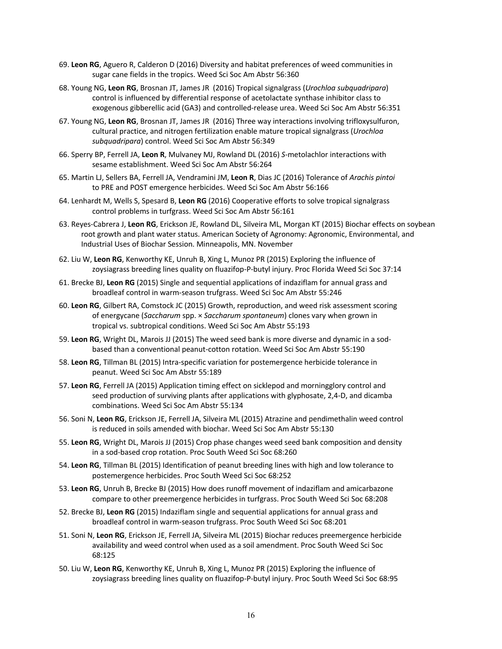- 69. **Leon RG**, Aguero R, Calderon D (2016) Diversity and habitat preferences of weed communities in sugar cane fields in the tropics. Weed Sci Soc Am Abstr 56:360
- 68. Young NG, **Leon RG**, Brosnan JT, James JR (2016) Tropical signalgrass (*Urochloa subquadripara*) control is influenced by differential response of acetolactate synthase inhibitor class to exogenous gibberellic acid (GA3) and controlled-release urea. Weed Sci Soc Am Abstr 56:351
- 67. Young NG, **Leon RG**, Brosnan JT, James JR (2016) Three way interactions involving trifloxysulfuron, cultural practice, and nitrogen fertilization enable mature tropical signalgrass (*Urochloa subquadripara*) control. Weed Sci Soc Am Abstr 56:349
- 66. Sperry BP, Ferrell JA, **Leon R**, Mulvaney MJ, Rowland DL (2016) *S*-metolachlor interactions with sesame establishment. Weed Sci Soc Am Abstr 56:264
- 65. Martin LJ, Sellers BA, Ferrell JA, Vendramini JM, **Leon R**, Dias JC (2016) Tolerance of *Arachis pintoi*  to PRE and POST emergence herbicides. Weed Sci Soc Am Abstr 56:166
- 64. Lenhardt M, Wells S, Spesard B, **Leon RG** (2016) Cooperative efforts to solve tropical signalgrass control problems in turfgrass. Weed Sci Soc Am Abstr 56:161
- 63. Reyes-Cabrera J, **Leon RG**, Erickson JE, Rowland DL, Silveira ML, Morgan KT (2015) Biochar effects on soybean root growth and plant water status. American Society of Agronomy: Agronomic, Environmental, and Industrial Uses of Biochar Session. Minneapolis, MN. November
- 62. Liu W, **Leon RG**, Kenworthy KE, Unruh B, Xing L, Munoz PR (2015) Exploring the influence of zoysiagrass breeding lines quality on fluazifop-P-butyl injury. Proc Florida Weed Sci Soc 37:14
- 61. Brecke BJ, **Leon RG** (2015) Single and sequential applications of indaziflam for annual grass and broadleaf control in warm-season trufgrass. Weed Sci Soc Am Abstr 55:246
- 60. **Leon RG**, Gilbert RA, Comstock JC (2015) Growth, reproduction, and weed risk assessment scoring of energycane (*Saccharum* spp. × *Saccharum spontaneum*) clones vary when grown in tropical vs. subtropical conditions. Weed Sci Soc Am Abstr 55:193
- 59. **Leon RG**, Wright DL, Marois JJ (2015) The weed seed bank is more diverse and dynamic in a sodbased than a conventional peanut-cotton rotation. Weed Sci Soc Am Abstr 55:190
- 58. **Leon RG**, Tillman BL (2015) Intra-specific variation for postemergence herbicide tolerance in peanut. Weed Sci Soc Am Abstr 55:189
- 57. **Leon RG**, Ferrell JA (2015) Application timing effect on sicklepod and morningglory control and seed production of surviving plants after applications with glyphosate, 2,4-D, and dicamba combinations. Weed Sci Soc Am Abstr 55:134
- 56. Soni N, **Leon RG**, Erickson JE, Ferrell JA, Silveira ML (2015) Atrazine and pendimethalin weed control is reduced in soils amended with biochar. Weed Sci Soc Am Abstr 55:130
- 55. **Leon RG**, Wright DL, Marois JJ (2015) Crop phase changes weed seed bank composition and density in a sod-based crop rotation. Proc South Weed Sci Soc 68:260
- 54. **Leon RG**, Tillman BL (2015) Identification of peanut breeding lines with high and low tolerance to postemergence herbicides. Proc South Weed Sci Soc 68:252
- 53. **Leon RG**, Unruh B, Brecke BJ (2015) How does runoff movement of indaziflam and amicarbazone compare to other preemergence herbicides in turfgrass. Proc South Weed Sci Soc 68:208
- 52. Brecke BJ, **Leon RG** (2015) Indaziflam single and sequential applications for annual grass and broadleaf control in warm-season trufgrass. Proc South Weed Sci Soc 68:201
- 51. Soni N, **Leon RG**, Erickson JE, Ferrell JA, Silveira ML (2015) Biochar reduces preemergence herbicide availability and weed control when used as a soil amendment. Proc South Weed Sci Soc 68:125
- 50. Liu W, **Leon RG**, Kenworthy KE, Unruh B, Xing L, Munoz PR (2015) Exploring the influence of zoysiagrass breeding lines quality on fluazifop-P-butyl injury. Proc South Weed Sci Soc 68:95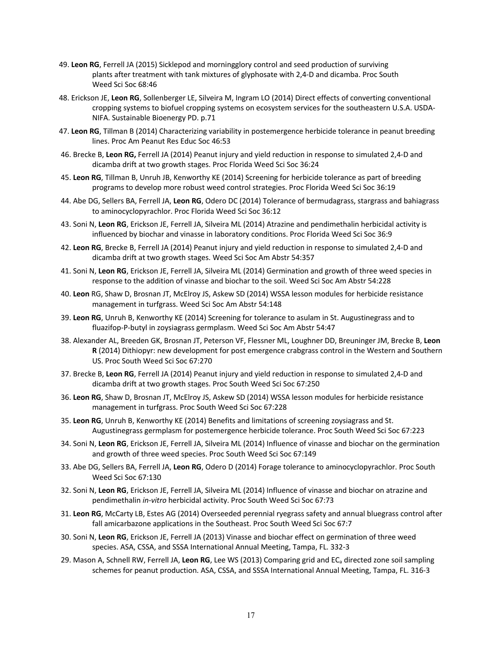- 49. **Leon RG**, Ferrell JA (2015) Sicklepod and morningglory control and seed production of surviving plants after treatment with tank mixtures of glyphosate with 2,4-D and dicamba. Proc South Weed Sci Soc 68:46
- 48. Erickson JE, **Leon RG**, Sollenberger LE, Silveira M, Ingram LO (2014) Direct effects of converting conventional cropping systems to biofuel cropping systems on ecosystem services for the southeastern U.S.A. USDA-NIFA. Sustainable Bioenergy PD. p.71
- 47. **Leon RG**, Tillman B (2014) Characterizing variability in postemergence herbicide tolerance in peanut breeding lines. Proc Am Peanut Res Educ Soc 46:53
- 46. Brecke B, **Leon RG,** Ferrell JA (2014) Peanut injury and yield reduction in response to simulated 2,4-D and dicamba drift at two growth stages. Proc Florida Weed Sci Soc 36:24
- 45. **Leon RG**, Tillman B, Unruh JB, Kenworthy KE (2014) Screening for herbicide tolerance as part of breeding programs to develop more robust weed control strategies. Proc Florida Weed Sci Soc 36:19
- 44. Abe DG, Sellers BA, Ferrell JA, **Leon RG**, Odero DC (2014) Tolerance of bermudagrass, stargrass and bahiagrass to aminocyclopyrachlor. Proc Florida Weed Sci Soc 36:12
- 43. Soni N, **Leon RG**, Erickson JE, Ferrell JA, Silveira ML (2014) Atrazine and pendimethalin herbicidal activity is influenced by biochar and vinasse in laboratory conditions. Proc Florida Weed Sci Soc 36:9
- 42. **Leon RG**, Brecke B, Ferrell JA (2014) Peanut injury and yield reduction in response to simulated 2,4-D and dicamba drift at two growth stages. Weed Sci Soc Am Abstr 54:357
- 41. Soni N, **Leon RG**, Erickson JE, Ferrell JA, Silveira ML (2014) Germination and growth of three weed species in response to the addition of vinasse and biochar to the soil. Weed Sci Soc Am Abstr 54:228
- 40. **Leon** RG, Shaw D, Brosnan JT, McElroy JS, Askew SD (2014) WSSA lesson modules for herbicide resistance management in turfgrass. Weed Sci Soc Am Abstr 54:148
- 39. **Leon RG**, Unruh B, Kenworthy KE (2014) Screening for tolerance to asulam in St. Augustinegrass and to fluazifop-P-butyl in zoysiagrass germplasm. Weed Sci Soc Am Abstr 54:47
- 38. Alexander AL, Breeden GK, Brosnan JT, Peterson VF, Flessner ML, Loughner DD, Breuninger JM, Brecke B, **Leon R** (2014) Dithiopyr: new development for post emergence crabgrass control in the Western and Southern US. Proc South Weed Sci Soc 67:270
- 37. Brecke B, **Leon RG**, Ferrell JA (2014) Peanut injury and yield reduction in response to simulated 2,4-D and dicamba drift at two growth stages. Proc South Weed Sci Soc 67:250
- 36. **Leon RG**, Shaw D, Brosnan JT, McElroy JS, Askew SD (2014) WSSA lesson modules for herbicide resistance management in turfgrass. Proc South Weed Sci Soc 67:228
- 35. **Leon RG**, Unruh B, Kenworthy KE (2014) Benefits and limitations of screening zoysiagrass and St. Augustinegrass germplasm for postemergence herbicide tolerance. Proc South Weed Sci Soc 67:223
- 34. Soni N, **Leon RG**, Erickson JE, Ferrell JA, Silveira ML (2014) Influence of vinasse and biochar on the germination and growth of three weed species. Proc South Weed Sci Soc 67:149
- 33. Abe DG, Sellers BA, Ferrell JA, **Leon RG**, Odero D (2014) Forage tolerance to aminocyclopyrachlor. Proc South Weed Sci Soc 67:130
- 32. Soni N, **Leon RG**, Erickson JE, Ferrell JA, Silveira ML (2014) Influence of vinasse and biochar on atrazine and pendimethalin *in-vitro* herbicidal activity. Proc South Weed Sci Soc 67:73
- 31. **Leon RG**, McCarty LB, Estes AG (2014) Overseeded perennial ryegrass safety and annual bluegrass control after fall amicarbazone applications in the Southeast. Proc South Weed Sci Soc 67:7
- 30. Soni N, **Leon RG**, Erickson JE, Ferrell JA (2013) Vinasse and biochar effect on germination of three weed species. ASA, CSSA, and SSSA International Annual Meeting, Tampa, FL. 332-3
- 29. Mason A, Schnell RW, Ferrell JA, **Leon RG**, Lee WS (2013) Comparing grid and ECa directed zone soil sampling schemes for peanut production. ASA, CSSA, and SSSA International Annual Meeting, Tampa, FL. 316-3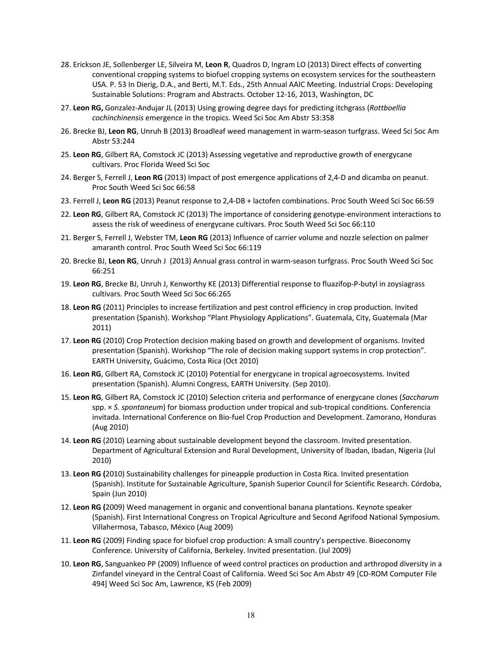- 28. Erickson JE, Sollenberger LE, Silveira M, **Leon R**, Quadros D, Ingram LO (2013) Direct effects of converting conventional cropping systems to biofuel cropping systems on ecosystem services for the southeastern USA. P. 53 In Dierig, D.A., and Berti, M.T. Eds., 25th Annual AAIC Meeting. Industrial Crops: Developing Sustainable Solutions: Program and Abstracts. October 12-16, 2013, Washington, DC
- 27. **Leon RG,** Gonzalez-Andujar JL (2013) Using growing degree days for predicting itchgrass (*Rottboellia cochinchinensis* emergence in the tropics. Weed Sci Soc Am Abstr 53:358
- 26. Brecke BJ, **Leon RG**, Unruh B (2013) Broadleaf weed management in warm-season turfgrass. Weed Sci Soc Am Abstr 53:244
- 25. **Leon RG**, Gilbert RA, Comstock JC (2013) Assessing vegetative and reproductive growth of energycane cultivars. Proc Florida Weed Sci Soc
- 24. Berger S, Ferrell J, **Leon RG** (2013) Impact of post emergence applications of 2,4-D and dicamba on peanut. Proc South Weed Sci Soc 66:58
- 23. Ferrell J, **Leon RG** (2013) Peanut response to 2,4-DB + lactofen combinations. Proc South Weed Sci Soc 66:59
- 22. **Leon RG**, Gilbert RA, Comstock JC (2013) The importance of considering genotype-environment interactions to assess the risk of weediness of energycane cultivars. Proc South Weed Sci Soc 66:110
- 21. Berger S, Ferrell J, Webster TM, **Leon RG** (2013) Influence of carrier volume and nozzle selection on palmer amaranth control. Proc South Weed Sci Soc 66:119
- 20. Brecke BJ, **Leon RG**, Unruh J (2013) Annual grass control in warm-season turfgrass. Proc South Weed Sci Soc 66:251
- 19. **Leon RG**, Brecke BJ, Unruh J, Kenworthy KE (2013) Differential response to fluazifop-P-butyl in zoysiagrass cultivars. Proc South Weed Sci Soc 66:265
- 18. **Leon RG** (2011) Principles to increase fertilization and pest control efficiency in crop production. Invited presentation (Spanish). Workshop "Plant Physiology Applications". Guatemala, City, Guatemala (Mar 2011)
- 17. **Leon RG** (2010) Crop Protection decision making based on growth and development of organisms. Invited presentation (Spanish). Workshop "The role of decision making support systems in crop protection". EARTH University, Guácimo, Costa Rica (Oct 2010)
- 16. **Leon RG**, Gilbert RA, Comstock JC (2010) Potential for energycane in tropical agroecosystems. Invited presentation (Spanish). Alumni Congress, EARTH University. (Sep 2010).
- 15. **Leon RG**, Gilbert RA, Comstock JC (2010) Selection criteria and performance of energycane clones (*Saccharum*  spp. × *S. spontaneum*) for biomass production under tropical and sub-tropical conditions. Conferencia invitada. International Conference on Bio-fuel Crop Production and Development. Zamorano, Honduras (Aug 2010)
- 14. **Leon RG** (2010) Learning about sustainable development beyond the classroom. Invited presentation. Department of Agricultural Extension and Rural Development, University of Ibadan, Ibadan, Nigeria (Jul 2010)
- 13. **Leon RG (**2010) Sustainability challenges for pineapple production in Costa Rica. Invited presentation (Spanish). Institute for Sustainable Agriculture, Spanish Superior Council for Scientific Research. Córdoba, Spain (Jun 2010)
- 12. **Leon RG (**2009) Weed management in organic and conventional banana plantations. Keynote speaker (Spanish). First International Congress on Tropical Agriculture and Second Agrifood National Symposium. Villahermosa, Tabasco, México (Aug 2009)
- 11. **Leon RG** (2009) Finding space for biofuel crop production: A small country's perspective. Bioeconomy Conference. University of California, Berkeley. Invited presentation. (Jul 2009)
- 10. **Leon RG**, Sanguankeo PP (2009) Influence of weed control practices on production and arthropod diversity in a Zinfandel vineyard in the Central Coast of California. Weed Sci Soc Am Abstr 49 [CD-ROM Computer File 494] Weed Sci Soc Am, Lawrence, KS (Feb 2009)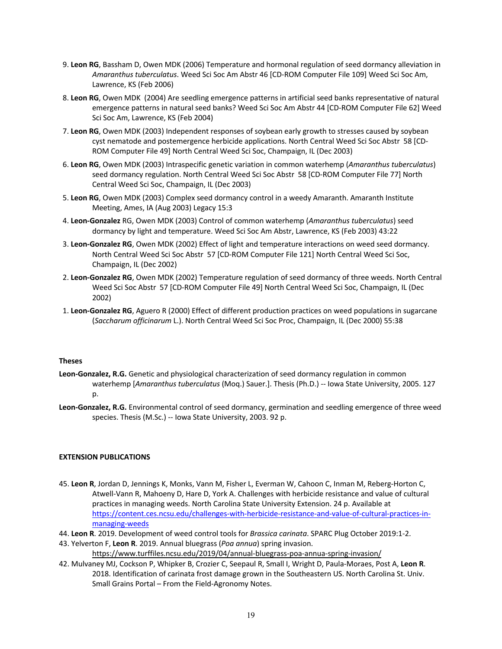- 9. **Leon RG**, Bassham D, Owen MDK (2006) Temperature and hormonal regulation of seed dormancy alleviation in *Amaranthus tuberculatus*. Weed Sci Soc Am Abstr 46 [CD-ROM Computer File 109] Weed Sci Soc Am, Lawrence, KS (Feb 2006)
- 8. **Leon RG**, Owen MDK (2004) Are seedling emergence patterns in artificial seed banks representative of natural emergence patterns in natural seed banks? Weed Sci Soc Am Abstr 44 [CD-ROM Computer File 62] Weed Sci Soc Am, Lawrence, KS (Feb 2004)
- 7. **Leon RG**, Owen MDK (2003) Independent responses of soybean early growth to stresses caused by soybean cyst nematode and postemergence herbicide applications. North Central Weed Sci Soc Abstr 58 [CD-ROM Computer File 49] North Central Weed Sci Soc, Champaign, IL (Dec 2003)
- 6. **Leon RG**, Owen MDK (2003) Intraspecific genetic variation in common waterhemp (*Amaranthus tuberculatus*) seed dormancy regulation. North Central Weed Sci Soc Abstr 58 [CD-ROM Computer File 77] North Central Weed Sci Soc, Champaign, IL (Dec 2003)
- 5. **Leon RG**, Owen MDK (2003) Complex seed dormancy control in a weedy Amaranth. Amaranth Institute Meeting, Ames, IA (Aug 2003) Legacy 15:3
- 4. **Leon-Gonzalez** RG, Owen MDK (2003) Control of common waterhemp (*Amaranthus tuberculatus*) seed dormancy by light and temperature. Weed Sci Soc Am Abstr, Lawrence, KS (Feb 2003) 43:22
- 3. **Leon-Gonzalez RG**, Owen MDK (2002) Effect of light and temperature interactions on weed seed dormancy. North Central Weed Sci Soc Abstr 57 [CD-ROM Computer File 121] North Central Weed Sci Soc, Champaign, IL (Dec 2002)
- 2. **Leon-Gonzalez RG**, Owen MDK (2002) Temperature regulation of seed dormancy of three weeds. North Central Weed Sci Soc Abstr 57 [CD-ROM Computer File 49] North Central Weed Sci Soc, Champaign, IL (Dec 2002)
- 1. **Leon-Gonzalez RG**, Aguero R (2000) Effect of different production practices on weed populations in sugarcane (*Saccharum officinarum* L.). North Central Weed Sci Soc Proc, Champaign, IL (Dec 2000) 55:38

#### **Theses**

- **Leon-Gonzalez, R.G.** Genetic and physiological characterization of seed dormancy regulation in common waterhemp [*Amaranthus tuberculatus* (Moq.) Sauer.]. Thesis (Ph.D.) -- Iowa State University, 2005. 127 p.
- **Leon-Gonzalez, R.G.** Environmental control of seed dormancy, germination and seedling emergence of three weed species. Thesis (M.Sc.) -- Iowa State University, 2003. 92 p.

## **EXTENSION PUBLICATIONS**

- 45. **Leon R**, Jordan D, Jennings K, Monks, Vann M, Fisher L, Everman W, Cahoon C, Inman M, Reberg-Horton C, Atwell-Vann R, Mahoeny D, Hare D, York A. Challenges with herbicide resistance and value of cultural practices in managing weeds. North Carolina State University Extension. 24 p. Available at https://content.ces.ncsu.edu/challenges-with-herbicide-resistance-and-value-of-cultural-practices-inmanaging-weeds
- 44. **Leon R**. 2019. Development of weed control tools for *Brassica carinata*. SPARC Plug October 2019:1-2.
- 43. Yelverton F, **Leon R**. 2019. Annual bluegrass (*Poa annua*) spring invasion. https://www.turffiles.ncsu.edu/2019/04/annual-bluegrass-poa-annua-spring-invasion/
- 42. Mulvaney MJ, Cockson P, Whipker B, Crozier C, Seepaul R, Small I, Wright D, Paula-Moraes, Post A, **Leon R**. 2018. Identification of carinata frost damage grown in the Southeastern US. North Carolina St. Univ. Small Grains Portal – From the Field-Agronomy Notes.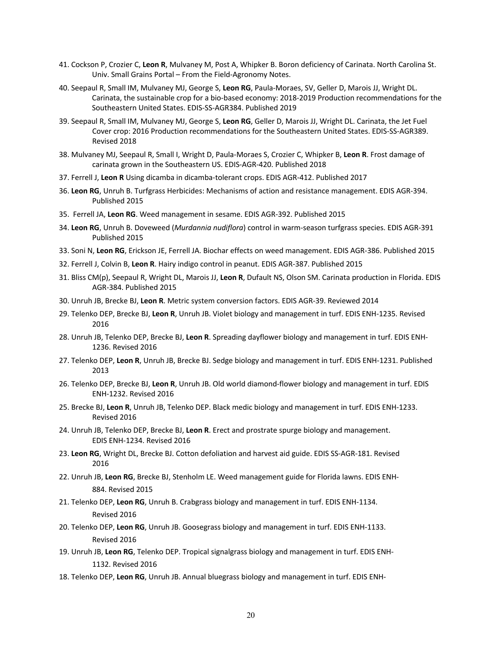- 41. Cockson P, Crozier C, **Leon R**, Mulvaney M, Post A, Whipker B. Boron deficiency of Carinata. North Carolina St. Univ. Small Grains Portal – From the Field-Agronomy Notes.
- 40. Seepaul R, Small IM, Mulvaney MJ, George S, **Leon RG**, Paula-Moraes, SV, Geller D, Marois JJ, Wright DL. Carinata, the sustainable crop for a bio-based economy: 2018-2019 Production recommendations for the Southeastern United States. EDIS-SS-AGR384. Published 2019
- 39. Seepaul R, Small IM, Mulvaney MJ, George S, **Leon RG**, Geller D, Marois JJ, Wright DL. Carinata, the Jet Fuel Cover crop: 2016 Production recommendations for the Southeastern United States. EDIS-SS-AGR389. Revised 2018
- 38. Mulvaney MJ, Seepaul R, Small I, Wright D, Paula-Moraes S, Crozier C, Whipker B, **Leon R**. Frost damage of carinata grown in the Southeastern US. EDIS-AGR-420. Published 2018
- 37. Ferrell J, **Leon R** Using dicamba in dicamba-tolerant crops. EDIS AGR-412. Published 2017
- 36. **Leon RG**, Unruh B. Turfgrass Herbicides: Mechanisms of action and resistance management. EDIS AGR-394. Published 2015
- 35. Ferrell JA, **Leon RG**. Weed management in sesame. EDIS AGR-392. Published 2015
- 34. **Leon RG**, Unruh B. Doveweed (*Murdannia nudiflora*) control in warm-season turfgrass species. EDIS AGR-391 Published 2015
- 33. Soni N, **Leon RG**, Erickson JE, Ferrell JA. Biochar effects on weed management. EDIS AGR-386. Published 2015
- 32. Ferrell J, Colvin B, **Leon R**. Hairy indigo control in peanut. EDIS AGR-387. Published 2015
- 31. Bliss CM(p), Seepaul R, Wright DL, Marois JJ, **Leon R**, Dufault NS, Olson SM. Carinata production in Florida. EDIS AGR-384. Published 2015
- 30. Unruh JB, Brecke BJ, **Leon R**. Metric system conversion factors. EDIS AGR-39. Reviewed 2014
- 29. Telenko DEP, Brecke BJ, **Leon R**, Unruh JB. Violet biology and management in turf. EDIS ENH-1235. Revised 2016
- 28. Unruh JB, Telenko DEP, Brecke BJ, **Leon R**. Spreading dayflower biology and management in turf. EDIS ENH-1236. Revised 2016
- 27. Telenko DEP, **Leon R**, Unruh JB, Brecke BJ. Sedge biology and management in turf. EDIS ENH-1231. Published 2013
- 26. Telenko DEP, Brecke BJ, **Leon R**, Unruh JB. Old world diamond-flower biology and management in turf. EDIS ENH-1232. Revised 2016
- 25. Brecke BJ, **Leon R**, Unruh JB, Telenko DEP. Black medic biology and management in turf. EDIS ENH-1233. Revised 2016
- 24. Unruh JB, Telenko DEP, Brecke BJ, **Leon R**. Erect and prostrate spurge biology and management. EDIS ENH-1234. Revised 2016
- 23. **Leon RG**, Wright DL, Brecke BJ. Cotton defoliation and harvest aid guide. EDIS SS-AGR-181. Revised 2016
- 22. Unruh JB, **Leon RG**, Brecke BJ, Stenholm LE. Weed management guide for Florida lawns. EDIS ENH-884. Revised 2015
- 21. Telenko DEP, **Leon RG**, Unruh B. Crabgrass biology and management in turf. EDIS ENH-1134. Revised 2016
- 20. Telenko DEP, **Leon RG**, Unruh JB. Goosegrass biology and management in turf. EDIS ENH-1133. Revised 2016
- 19. Unruh JB, **Leon RG**, Telenko DEP. Tropical signalgrass biology and management in turf. EDIS ENH-1132. Revised 2016
- 18. Telenko DEP, **Leon RG**, Unruh JB. Annual bluegrass biology and management in turf. EDIS ENH-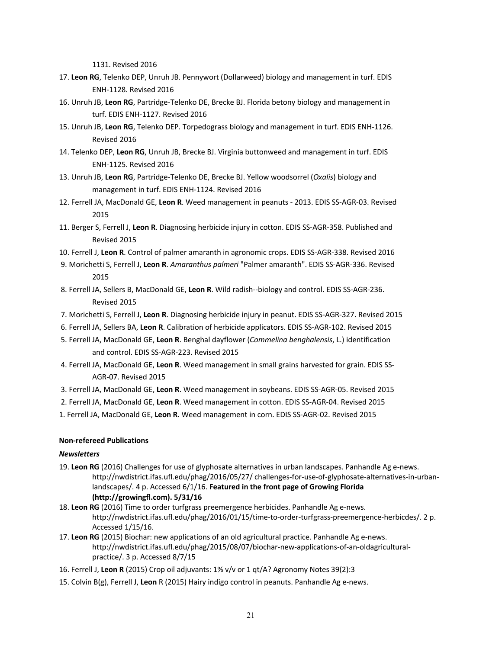1131. Revised 2016

- 17. **Leon RG**, Telenko DEP, Unruh JB. Pennywort (Dollarweed) biology and management in turf. EDIS ENH-1128. Revised 2016
- 16. Unruh JB, **Leon RG**, Partridge-Telenko DE, Brecke BJ. Florida betony biology and management in turf. EDIS ENH-1127. Revised 2016
- 15. Unruh JB, **Leon RG**, Telenko DEP. Torpedograss biology and management in turf. EDIS ENH-1126. Revised 2016
- 14. Telenko DEP, **Leon RG**, Unruh JB, Brecke BJ. Virginia buttonweed and management in turf. EDIS ENH-1125. Revised 2016
- 13. Unruh JB, **Leon RG**, Partridge-Telenko DE, Brecke BJ. Yellow woodsorrel (*Oxalis*) biology and management in turf. EDIS ENH-1124. Revised 2016
- 12. Ferrell JA, MacDonald GE, **Leon R**. Weed management in peanuts 2013. EDIS SS-AGR-03. Revised 2015
- 11. Berger S, Ferrell J, **Leon R**. Diagnosing herbicide injury in cotton. EDIS SS-AGR-358. Published and Revised 2015
- 10. Ferrell J, **Leon R**. Control of palmer amaranth in agronomic crops. EDIS SS-AGR-338. Revised 2016
- 9. Morichetti S, Ferrell J, **Leon R**. *Amaranthus palmeri* "Palmer amaranth". EDIS SS-AGR-336. Revised 2015
- 8. Ferrell JA, Sellers B, MacDonald GE, **Leon R**. Wild radish--biology and control. EDIS SS-AGR-236. Revised 2015
- 7. Morichetti S, Ferrell J, **Leon R**. Diagnosing herbicide injury in peanut. EDIS SS-AGR-327. Revised 2015
- 6. Ferrell JA, Sellers BA, **Leon R**. Calibration of herbicide applicators. EDIS SS-AGR-102. Revised 2015
- 5. Ferrell JA, MacDonald GE, **Leon R**. Benghal dayflower (*Commelina benghalensis*, L.) identification and control. EDIS SS-AGR-223. Revised 2015
- 4. Ferrell JA, MacDonald GE, **Leon R**. Weed management in small grains harvested for grain. EDIS SS-AGR-07. Revised 2015
- 3. Ferrell JA, MacDonald GE, **Leon R**. Weed management in soybeans. EDIS SS-AGR-05. Revised 2015
- 2. Ferrell JA, MacDonald GE, **Leon R**. Weed management in cotton. EDIS SS-AGR-04. Revised 2015
- 1. Ferrell JA, MacDonald GE, **Leon R**. Weed management in corn. EDIS SS-AGR-02. Revised 2015

#### **Non-refereed Publications**

#### *Newsletters*

- 19. **Leon RG** (2016) Challenges for use of glyphosate alternatives in urban landscapes. Panhandle Ag e-news. http://nwdistrict.ifas.ufl.edu/phag/2016/05/27/ challenges-for-use-of-glyphosate-alternatives-in-urbanlandscapes/. 4 p. Accessed 6/1/16. **Featured in the front page of Growing Florida (http://growingfl.com). 5/31/16**
- 18. **Leon RG** (2016) Time to order turfgrass preemergence herbicides. Panhandle Ag e-news. http://nwdistrict.ifas.ufl.edu/phag/2016/01/15/time-to-order-turfgrass-preemergence-herbicdes/. 2 p. Accessed 1/15/16.
- 17. **Leon RG** (2015) Biochar: new applications of an old agricultural practice. Panhandle Ag e-news. http://nwdistrict.ifas.ufl.edu/phag/2015/08/07/biochar-new-applications-of-an-oldagriculturalpractice/. 3 p. Accessed 8/7/15
- 16. Ferrell J, **Leon R** (2015) Crop oil adjuvants: 1% v/v or 1 qt/A? Agronomy Notes 39(2):3
- 15. Colvin B(g), Ferrell J, **Leon** R (2015) Hairy indigo control in peanuts. Panhandle Ag e-news.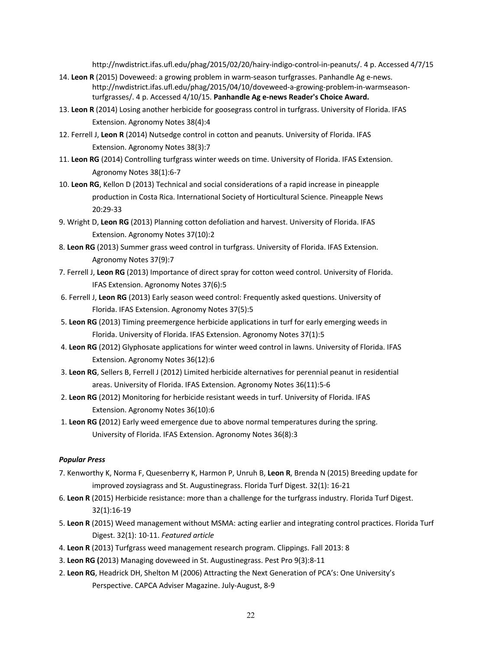http://nwdistrict.ifas.ufl.edu/phag/2015/02/20/hairy-indigo-control-in-peanuts/. 4 p. Accessed 4/7/15

- 14. **Leon R** (2015) Doveweed: a growing problem in warm-season turfgrasses. Panhandle Ag e-news. http://nwdistrict.ifas.ufl.edu/phag/2015/04/10/doveweed-a-growing-problem-in-warmseasonturfgrasses/. 4 p. Accessed 4/10/15. **Panhandle Ag e-news Reader's Choice Award.**
- 13. **Leon R** (2014) Losing another herbicide for goosegrass control in turfgrass. University of Florida. IFAS Extension. Agronomy Notes 38(4):4
- 12. Ferrell J, **Leon R** (2014) Nutsedge control in cotton and peanuts. University of Florida. IFAS Extension. Agronomy Notes 38(3):7
- 11. **Leon RG** (2014) Controlling turfgrass winter weeds on time. University of Florida. IFAS Extension. Agronomy Notes 38(1):6-7
- 10. **Leon RG**, Kellon D (2013) Technical and social considerations of a rapid increase in pineapple production in Costa Rica. International Society of Horticultural Science. Pineapple News 20:29-33
- 9. Wright D, **Leon RG** (2013) Planning cotton defoliation and harvest. University of Florida. IFAS Extension. Agronomy Notes 37(10):2
- 8. **Leon RG** (2013) Summer grass weed control in turfgrass. University of Florida. IFAS Extension. Agronomy Notes 37(9):7
- 7. Ferrell J, **Leon RG** (2013) Importance of direct spray for cotton weed control. University of Florida. IFAS Extension. Agronomy Notes 37(6):5
- 6. Ferrell J, **Leon RG** (2013) Early season weed control: Frequently asked questions. University of Florida. IFAS Extension. Agronomy Notes 37(5):5
- 5. **Leon RG** (2013) Timing preemergence herbicide applications in turf for early emerging weeds in Florida. University of Florida. IFAS Extension. Agronomy Notes 37(1):5
- 4. **Leon RG** (2012) Glyphosate applications for winter weed control in lawns. University of Florida. IFAS Extension. Agronomy Notes 36(12):6
- 3. **Leon RG**, Sellers B, Ferrell J (2012) Limited herbicide alternatives for perennial peanut in residential areas. University of Florida. IFAS Extension. Agronomy Notes 36(11):5-6
- 2. **Leon RG** (2012) Monitoring for herbicide resistant weeds in turf. University of Florida. IFAS Extension. Agronomy Notes 36(10):6
- 1. **Leon RG (**2012) Early weed emergence due to above normal temperatures during the spring. University of Florida. IFAS Extension. Agronomy Notes 36(8):3

#### *Popular Press*

- 7. Kenworthy K, Norma F, Quesenberry K, Harmon P, Unruh B, **Leon R**, Brenda N (2015) Breeding update for improved zoysiagrass and St. Augustinegrass. Florida Turf Digest. 32(1): 16-21
- 6. **Leon R** (2015) Herbicide resistance: more than a challenge for the turfgrass industry. Florida Turf Digest. 32(1):16-19
- 5. **Leon R** (2015) Weed management without MSMA: acting earlier and integrating control practices. Florida Turf Digest. 32(1): 10-11. *Featured article*
- 4. **Leon R** (2013) Turfgrass weed management research program. Clippings. Fall 2013: 8
- 3. **Leon RG (**2013) Managing doveweed in St. Augustinegrass. Pest Pro 9(3):8-11
- 2. **Leon RG**, Headrick DH, Shelton M (2006) Attracting the Next Generation of PCA's: One University's Perspective. CAPCA Adviser Magazine. July-August, 8-9